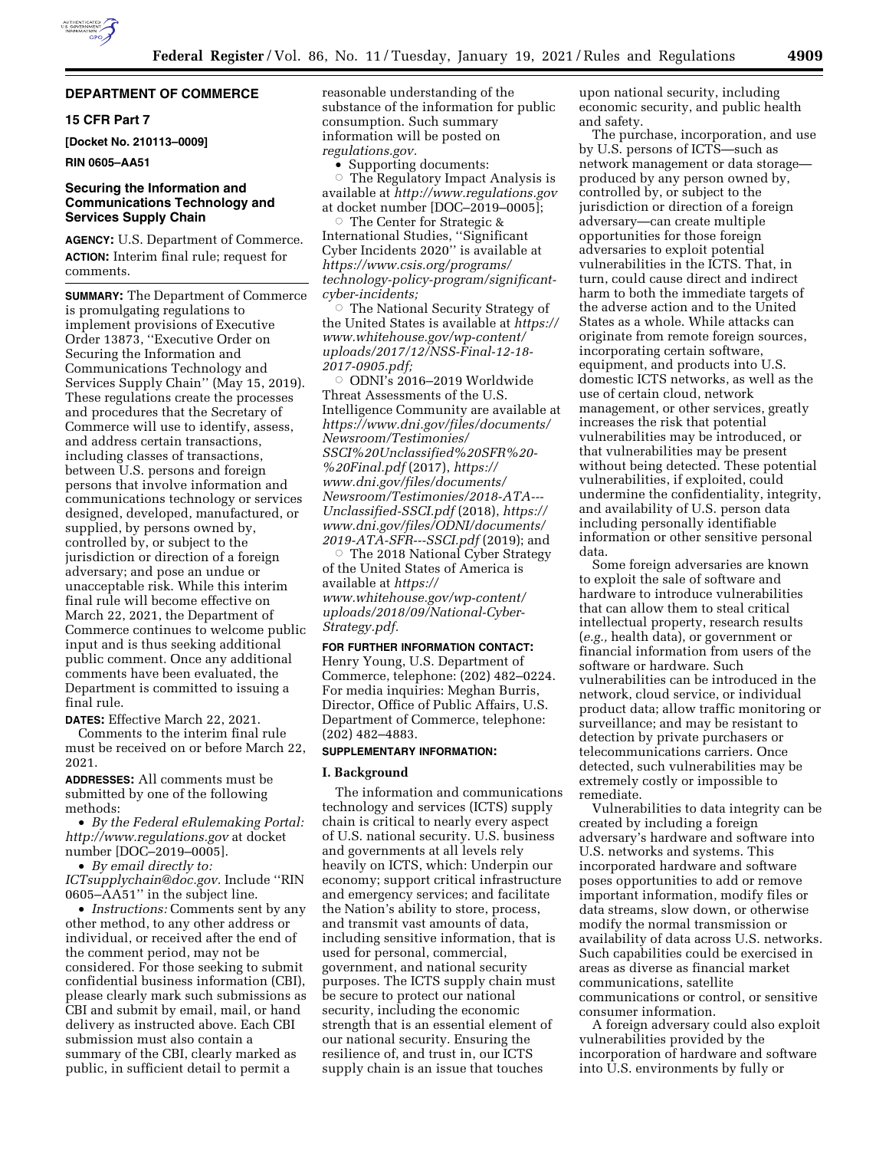

## **DEPARTMENT OF COMMERCE**

## **15 CFR Part 7**

**[Docket No. 210113–0009]** 

#### **RIN 0605–AA51**

# **Securing the Information and Communications Technology and Services Supply Chain**

**AGENCY:** U.S. Department of Commerce. **ACTION:** Interim final rule; request for comments.

**SUMMARY:** The Department of Commerce is promulgating regulations to implement provisions of Executive Order 13873, ''Executive Order on Securing the Information and Communications Technology and Services Supply Chain'' (May 15, 2019). These regulations create the processes and procedures that the Secretary of Commerce will use to identify, assess, and address certain transactions, including classes of transactions, between U.S. persons and foreign persons that involve information and communications technology or services designed, developed, manufactured, or supplied, by persons owned by, controlled by, or subject to the jurisdiction or direction of a foreign adversary; and pose an undue or unacceptable risk. While this interim final rule will become effective on March 22, 2021, the Department of Commerce continues to welcome public input and is thus seeking additional public comment. Once any additional comments have been evaluated, the Department is committed to issuing a final rule.

**DATES:** Effective March 22, 2021. Comments to the interim final rule must be received on or before March 22, 2021.

**ADDRESSES:** All comments must be submitted by one of the following methods:

• *By the Federal eRulemaking Portal: <http://www.regulations.gov>* at docket number [DOC–2019–0005].

• *By email directly to:* 

*[ICTsupplychain@doc.gov.](mailto:ICTsupplychain@doc.gov)* Include ''RIN 0605–AA51'' in the subject line.

• *Instructions:* Comments sent by any other method, to any other address or individual, or received after the end of the comment period, may not be considered. For those seeking to submit confidential business information (CBI), please clearly mark such submissions as CBI and submit by email, mail, or hand delivery as instructed above. Each CBI submission must also contain a summary of the CBI, clearly marked as public, in sufficient detail to permit a

reasonable understanding of the substance of the information for public consumption. Such summary information will be posted on *regulations.gov.* 

• Supporting documents:

The Regulatory Impact Analysis is available at *<http://www.regulations.gov>* at docket number [DOC–2019–0005]; Æ

 The Center for Strategic & International Studies, ''Significant Cyber Incidents 2020'' is available at *[https://www.csis.org/programs/](https://www.csis.org/programs/technology-policy-program/significant-cyber-incidents) [technology-policy-program/significant](https://www.csis.org/programs/technology-policy-program/significant-cyber-incidents)[cyber-incidents;](https://www.csis.org/programs/technology-policy-program/significant-cyber-incidents)* 

**The National Security Strategy of** the United States is available at *[https://](https://www.whitehouse.gov/wp-content/uploads/2017/12/NSS-Final-12-18-2017-0905.pdf)  [www.whitehouse.gov/wp-content/](https://www.whitehouse.gov/wp-content/uploads/2017/12/NSS-Final-12-18-2017-0905.pdf) [uploads/2017/12/NSS-Final-12-18-](https://www.whitehouse.gov/wp-content/uploads/2017/12/NSS-Final-12-18-2017-0905.pdf) [2017-0905.pdf;](https://www.whitehouse.gov/wp-content/uploads/2017/12/NSS-Final-12-18-2017-0905.pdf)* 

 $\circ$  ODNI's 2016–2019 Worldwide Threat Assessments of the U.S. Intelligence Community are available at *[https://www.dni.gov/files/documents/](https://www.dni.gov/files/documents/Newsroom/Testimonies/SSCI%20Unclassified%20SFR%20-%20Final.pdf) [Newsroom/Testimonies/](https://www.dni.gov/files/documents/Newsroom/Testimonies/SSCI%20Unclassified%20SFR%20-%20Final.pdf) [SSCI%20Unclassified%20SFR%20-](https://www.dni.gov/files/documents/Newsroom/Testimonies/SSCI%20Unclassified%20SFR%20-%20Final.pdf) [%20Final.pdf](https://www.dni.gov/files/documents/Newsroom/Testimonies/SSCI%20Unclassified%20SFR%20-%20Final.pdf)* (2017), *[https://](https://www.dni.gov/files/documents/Newsroom/Testimonies/2018-ATA---Unclassified-SSCI.pdf) [www.dni.gov/files/documents/](https://www.dni.gov/files/documents/Newsroom/Testimonies/2018-ATA---Unclassified-SSCI.pdf)  [Newsroom/Testimonies/2018-ATA---](https://www.dni.gov/files/documents/Newsroom/Testimonies/2018-ATA---Unclassified-SSCI.pdf)  [Unclassified-SSCI.pdf](https://www.dni.gov/files/documents/Newsroom/Testimonies/2018-ATA---Unclassified-SSCI.pdf)* (2018), *[https://](https://www.dni.gov/files/ODNI/documents/2019-ATA-SFR---SSCI.pdf) [www.dni.gov/files/ODNI/documents/](https://www.dni.gov/files/ODNI/documents/2019-ATA-SFR---SSCI.pdf)  [2019-ATA-SFR---SSCI.pdf](https://www.dni.gov/files/ODNI/documents/2019-ATA-SFR---SSCI.pdf)* (2019); and

 $\circ~$  The 2018 National Cyber Strategy of the United States of America is available at *[https://](https://www.whitehouse.gov/wp-content/uploads/2018/09/National-Cyber-Strategy.pdf) [www.whitehouse.gov/wp-content/](https://www.whitehouse.gov/wp-content/uploads/2018/09/National-Cyber-Strategy.pdf) [uploads/2018/09/National-Cyber-](https://www.whitehouse.gov/wp-content/uploads/2018/09/National-Cyber-Strategy.pdf)[Strategy.pdf.](https://www.whitehouse.gov/wp-content/uploads/2018/09/National-Cyber-Strategy.pdf)* 

### **FOR FURTHER INFORMATION CONTACT:**

Henry Young, U.S. Department of Commerce, telephone: (202) 482–0224. For media inquiries: Meghan Burris, Director, Office of Public Affairs, U.S. Department of Commerce, telephone: (202) 482–4883.

## **SUPPLEMENTARY INFORMATION:**

### **I. Background**

The information and communications technology and services (ICTS) supply chain is critical to nearly every aspect of U.S. national security. U.S. business and governments at all levels rely heavily on ICTS, which: Underpin our economy; support critical infrastructure and emergency services; and facilitate the Nation's ability to store, process, and transmit vast amounts of data, including sensitive information, that is used for personal, commercial, government, and national security purposes. The ICTS supply chain must be secure to protect our national security, including the economic strength that is an essential element of our national security. Ensuring the resilience of, and trust in, our ICTS supply chain is an issue that touches

upon national security, including economic security, and public health and safety.

The purchase, incorporation, and use by U.S. persons of ICTS—such as network management or data storage produced by any person owned by, controlled by, or subject to the jurisdiction or direction of a foreign adversary—can create multiple opportunities for those foreign adversaries to exploit potential vulnerabilities in the ICTS. That, in turn, could cause direct and indirect harm to both the immediate targets of the adverse action and to the United States as a whole. While attacks can originate from remote foreign sources, incorporating certain software, equipment, and products into U.S. domestic ICTS networks, as well as the use of certain cloud, network management, or other services, greatly increases the risk that potential vulnerabilities may be introduced, or that vulnerabilities may be present without being detected. These potential vulnerabilities, if exploited, could undermine the confidentiality, integrity, and availability of U.S. person data including personally identifiable information or other sensitive personal data.

Some foreign adversaries are known to exploit the sale of software and hardware to introduce vulnerabilities that can allow them to steal critical intellectual property, research results (*e.g.,* health data), or government or financial information from users of the software or hardware. Such vulnerabilities can be introduced in the network, cloud service, or individual product data; allow traffic monitoring or surveillance; and may be resistant to detection by private purchasers or telecommunications carriers. Once detected, such vulnerabilities may be extremely costly or impossible to remediate.

Vulnerabilities to data integrity can be created by including a foreign adversary's hardware and software into U.S. networks and systems. This incorporated hardware and software poses opportunities to add or remove important information, modify files or data streams, slow down, or otherwise modify the normal transmission or availability of data across U.S. networks. Such capabilities could be exercised in areas as diverse as financial market communications, satellite communications or control, or sensitive consumer information.

A foreign adversary could also exploit vulnerabilities provided by the incorporation of hardware and software into U.S. environments by fully or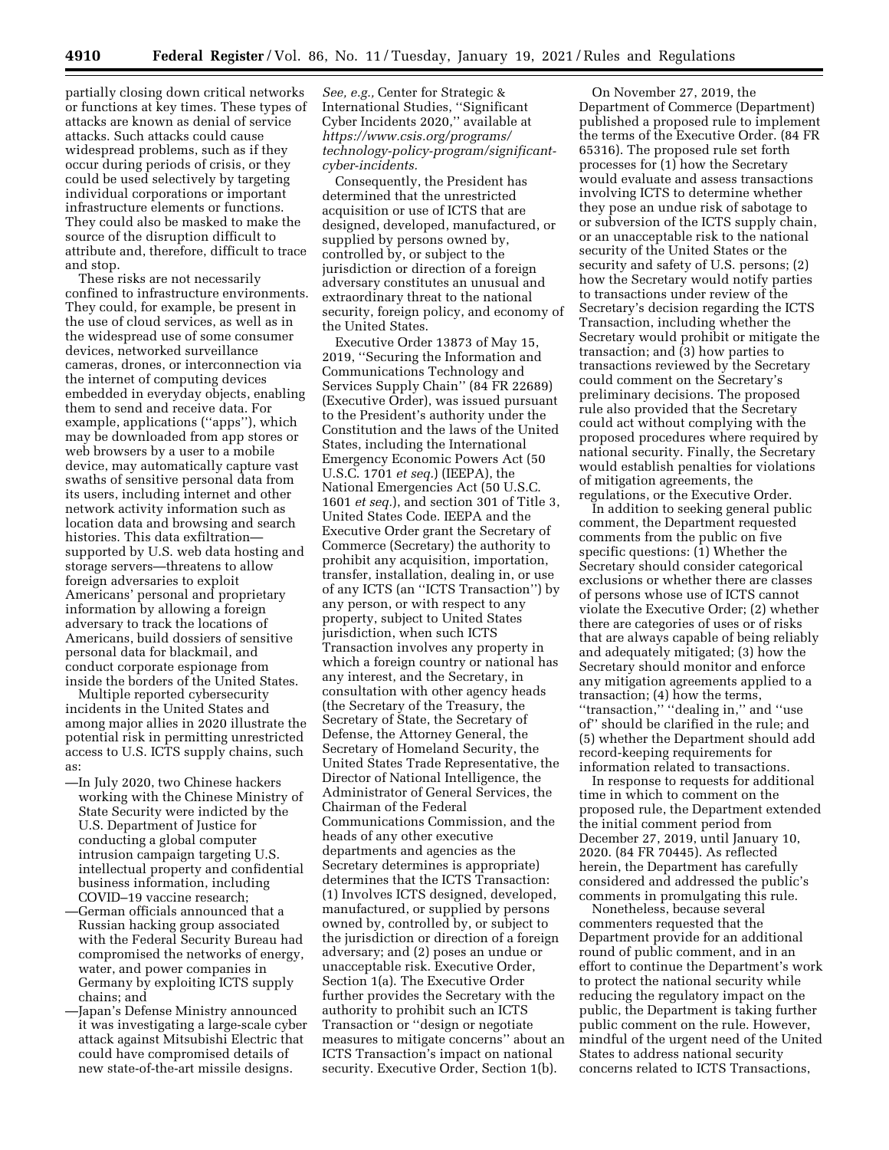partially closing down critical networks or functions at key times. These types of attacks are known as denial of service attacks. Such attacks could cause widespread problems, such as if they occur during periods of crisis, or they could be used selectively by targeting individual corporations or important infrastructure elements or functions. They could also be masked to make the source of the disruption difficult to attribute and, therefore, difficult to trace and stop.

These risks are not necessarily confined to infrastructure environments. They could, for example, be present in the use of cloud services, as well as in the widespread use of some consumer devices, networked surveillance cameras, drones, or interconnection via the internet of computing devices embedded in everyday objects, enabling them to send and receive data. For example, applications (''apps''), which may be downloaded from app stores or web browsers by a user to a mobile device, may automatically capture vast swaths of sensitive personal data from its users, including internet and other network activity information such as location data and browsing and search histories. This data exfiltration supported by U.S. web data hosting and storage servers—threatens to allow foreign adversaries to exploit Americans' personal and proprietary information by allowing a foreign adversary to track the locations of Americans, build dossiers of sensitive personal data for blackmail, and conduct corporate espionage from inside the borders of the United States.

Multiple reported cybersecurity incidents in the United States and among major allies in 2020 illustrate the potential risk in permitting unrestricted access to U.S. ICTS supply chains, such as:

- —In July 2020, two Chinese hackers working with the Chinese Ministry of State Security were indicted by the U.S. Department of Justice for conducting a global computer intrusion campaign targeting U.S. intellectual property and confidential business information, including COVID–19 vaccine research;
- —German officials announced that a Russian hacking group associated with the Federal Security Bureau had compromised the networks of energy, water, and power companies in Germany by exploiting ICTS supply chains; and
- —Japan's Defense Ministry announced it was investigating a large-scale cyber attack against Mitsubishi Electric that could have compromised details of new state-of-the-art missile designs.

*See, e.g.,* Center for Strategic & International Studies, ''Significant Cyber Incidents 2020,'' available at *[https://www.csis.org/programs/](https://www.csis.org/programs/technology-policy-program/significant-cyber-incidents) [technology-policy-program/significant](https://www.csis.org/programs/technology-policy-program/significant-cyber-incidents)[cyber-incidents.](https://www.csis.org/programs/technology-policy-program/significant-cyber-incidents)* 

Consequently, the President has determined that the unrestricted acquisition or use of ICTS that are designed, developed, manufactured, or supplied by persons owned by, controlled by, or subject to the jurisdiction or direction of a foreign adversary constitutes an unusual and extraordinary threat to the national security, foreign policy, and economy of the United States.

Executive Order 13873 of May 15, 2019, ''Securing the Information and Communications Technology and Services Supply Chain'' (84 FR 22689) (Executive Order), was issued pursuant to the President's authority under the Constitution and the laws of the United States, including the International Emergency Economic Powers Act (50 U.S.C. 1701 *et seq.*) (IEEPA), the National Emergencies Act (50 U.S.C. 1601 *et seq.*), and section 301 of Title 3, United States Code. IEEPA and the Executive Order grant the Secretary of Commerce (Secretary) the authority to prohibit any acquisition, importation, transfer, installation, dealing in, or use of any ICTS (an ''ICTS Transaction'') by any person, or with respect to any property, subject to United States jurisdiction, when such ICTS Transaction involves any property in which a foreign country or national has any interest, and the Secretary, in consultation with other agency heads (the Secretary of the Treasury, the Secretary of State, the Secretary of Defense, the Attorney General, the Secretary of Homeland Security, the United States Trade Representative, the Director of National Intelligence, the Administrator of General Services, the Chairman of the Federal Communications Commission, and the heads of any other executive departments and agencies as the Secretary determines is appropriate) determines that the ICTS Transaction: (1) Involves ICTS designed, developed, manufactured, or supplied by persons owned by, controlled by, or subject to the jurisdiction or direction of a foreign adversary; and (2) poses an undue or unacceptable risk. Executive Order, Section 1(a). The Executive Order further provides the Secretary with the authority to prohibit such an ICTS Transaction or ''design or negotiate measures to mitigate concerns'' about an ICTS Transaction's impact on national security. Executive Order, Section 1(b).

On November 27, 2019, the Department of Commerce (Department) published a proposed rule to implement the terms of the Executive Order. (84 FR 65316). The proposed rule set forth processes for (1) how the Secretary would evaluate and assess transactions involving ICTS to determine whether they pose an undue risk of sabotage to or subversion of the ICTS supply chain, or an unacceptable risk to the national security of the United States or the security and safety of U.S. persons; (2) how the Secretary would notify parties to transactions under review of the Secretary's decision regarding the ICTS Transaction, including whether the Secretary would prohibit or mitigate the transaction; and (3) how parties to transactions reviewed by the Secretary could comment on the Secretary's preliminary decisions. The proposed rule also provided that the Secretary could act without complying with the proposed procedures where required by national security. Finally, the Secretary would establish penalties for violations of mitigation agreements, the regulations, or the Executive Order.

In addition to seeking general public comment, the Department requested comments from the public on five specific questions: (1) Whether the Secretary should consider categorical exclusions or whether there are classes of persons whose use of ICTS cannot violate the Executive Order; (2) whether there are categories of uses or of risks that are always capable of being reliably and adequately mitigated; (3) how the Secretary should monitor and enforce any mitigation agreements applied to a transaction; (4) how the terms, ''transaction,'' ''dealing in,'' and ''use of'' should be clarified in the rule; and (5) whether the Department should add record-keeping requirements for information related to transactions.

In response to requests for additional time in which to comment on the proposed rule, the Department extended the initial comment period from December 27, 2019, until January 10, 2020. (84 FR 70445). As reflected herein, the Department has carefully considered and addressed the public's comments in promulgating this rule.

Nonetheless, because several commenters requested that the Department provide for an additional round of public comment, and in an effort to continue the Department's work to protect the national security while reducing the regulatory impact on the public, the Department is taking further public comment on the rule. However, mindful of the urgent need of the United States to address national security concerns related to ICTS Transactions,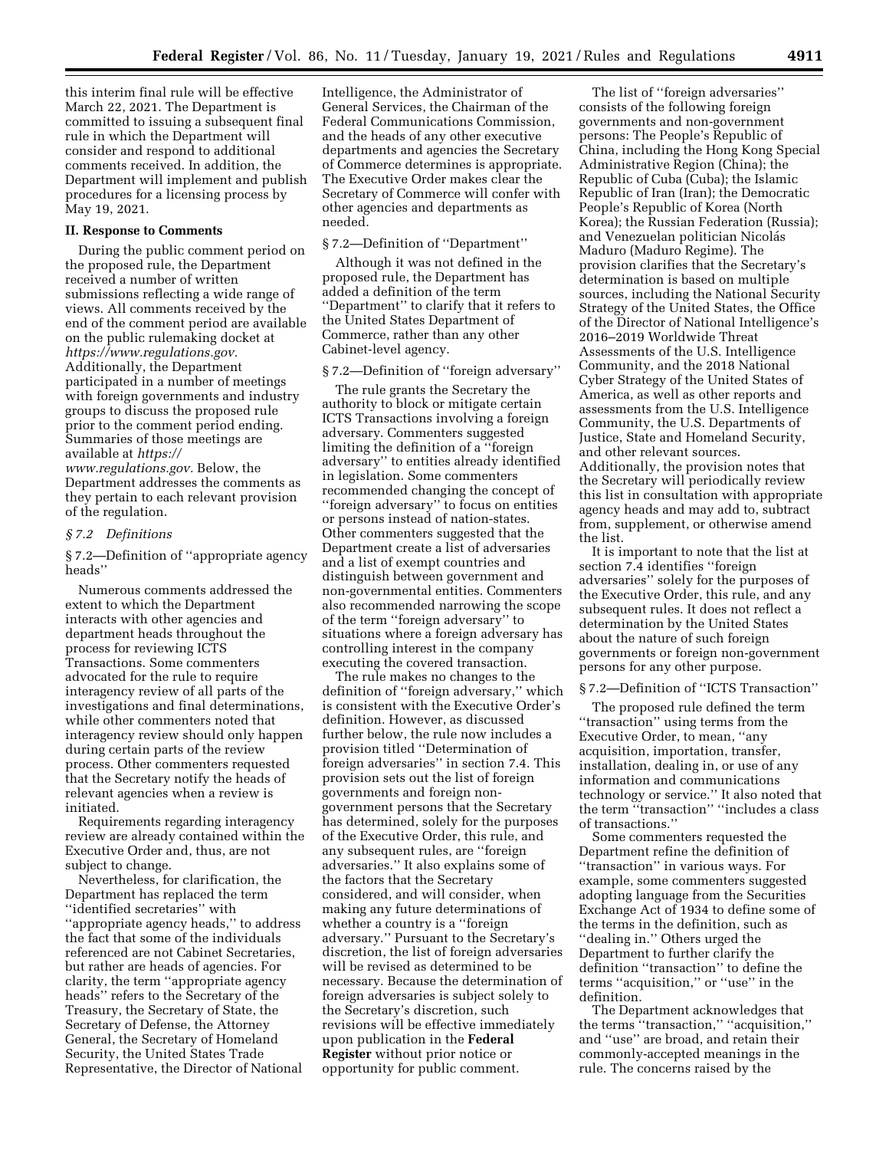this interim final rule will be effective March 22, 2021. The Department is committed to issuing a subsequent final rule in which the Department will consider and respond to additional comments received. In addition, the Department will implement and publish procedures for a licensing process by May 19, 2021.

# **II. Response to Comments**

During the public comment period on the proposed rule, the Department received a number of written submissions reflecting a wide range of views. All comments received by the end of the comment period are available on the public rulemaking docket at *[https://www.regulations.gov.](https://www.regulations.gov)*  Additionally, the Department participated in a number of meetings with foreign governments and industry groups to discuss the proposed rule prior to the comment period ending. Summaries of those meetings are available at *[https://](https://www.regulations.gov)*

*[www.regulations.gov.](https://www.regulations.gov)* Below, the Department addresses the comments as they pertain to each relevant provision of the regulation.

### *§ 7.2 Definitions*

§ 7.2—Definition of ''appropriate agency heads''

Numerous comments addressed the extent to which the Department interacts with other agencies and department heads throughout the process for reviewing ICTS Transactions. Some commenters advocated for the rule to require interagency review of all parts of the investigations and final determinations, while other commenters noted that interagency review should only happen during certain parts of the review process. Other commenters requested that the Secretary notify the heads of relevant agencies when a review is initiated.

Requirements regarding interagency review are already contained within the Executive Order and, thus, are not subject to change.

Nevertheless, for clarification, the Department has replaced the term ''identified secretaries'' with ''appropriate agency heads,'' to address the fact that some of the individuals referenced are not Cabinet Secretaries, but rather are heads of agencies. For clarity, the term ''appropriate agency heads'' refers to the Secretary of the Treasury, the Secretary of State, the Secretary of Defense, the Attorney General, the Secretary of Homeland Security, the United States Trade Representative, the Director of National

Intelligence, the Administrator of General Services, the Chairman of the Federal Communications Commission, and the heads of any other executive departments and agencies the Secretary of Commerce determines is appropriate. The Executive Order makes clear the Secretary of Commerce will confer with other agencies and departments as needed.

#### § 7.2—Definition of ''Department''

Although it was not defined in the proposed rule, the Department has added a definition of the term ''Department'' to clarify that it refers to the United States Department of Commerce, rather than any other Cabinet-level agency.

#### § 7.2—Definition of ''foreign adversary''

The rule grants the Secretary the authority to block or mitigate certain ICTS Transactions involving a foreign adversary. Commenters suggested limiting the definition of a ''foreign adversary'' to entities already identified in legislation. Some commenters recommended changing the concept of ''foreign adversary'' to focus on entities or persons instead of nation-states. Other commenters suggested that the Department create a list of adversaries and a list of exempt countries and distinguish between government and non-governmental entities. Commenters also recommended narrowing the scope of the term ''foreign adversary'' to situations where a foreign adversary has controlling interest in the company executing the covered transaction.

The rule makes no changes to the definition of ''foreign adversary,'' which is consistent with the Executive Order's definition. However, as discussed further below, the rule now includes a provision titled ''Determination of foreign adversaries'' in section 7.4. This provision sets out the list of foreign governments and foreign nongovernment persons that the Secretary has determined, solely for the purposes of the Executive Order, this rule, and any subsequent rules, are ''foreign adversaries.'' It also explains some of the factors that the Secretary considered, and will consider, when making any future determinations of whether a country is a "foreign" adversary.'' Pursuant to the Secretary's discretion, the list of foreign adversaries will be revised as determined to be necessary. Because the determination of foreign adversaries is subject solely to the Secretary's discretion, such revisions will be effective immediately upon publication in the **Federal Register** without prior notice or opportunity for public comment.

The list of ''foreign adversaries'' consists of the following foreign governments and non-government persons: The People's Republic of China, including the Hong Kong Special Administrative Region (China); the Republic of Cuba (Cuba); the Islamic Republic of Iran (Iran); the Democratic People's Republic of Korea (North Korea); the Russian Federation (Russia); and Venezuelan politician Nicolás Maduro (Maduro Regime). The provision clarifies that the Secretary's determination is based on multiple sources, including the National Security Strategy of the United States, the Office of the Director of National Intelligence's 2016–2019 Worldwide Threat Assessments of the U.S. Intelligence Community, and the 2018 National Cyber Strategy of the United States of America, as well as other reports and assessments from the U.S. Intelligence Community, the U.S. Departments of Justice, State and Homeland Security, and other relevant sources. Additionally, the provision notes that the Secretary will periodically review this list in consultation with appropriate agency heads and may add to, subtract from, supplement, or otherwise amend the list.

It is important to note that the list at section 7.4 identifies ''foreign adversaries'' solely for the purposes of the Executive Order, this rule, and any subsequent rules. It does not reflect a determination by the United States about the nature of such foreign governments or foreign non-government persons for any other purpose.

# § 7.2—Definition of "ICTS Transaction"

The proposed rule defined the term ''transaction'' using terms from the Executive Order, to mean, ''any acquisition, importation, transfer, installation, dealing in, or use of any information and communications technology or service.'' It also noted that the term ''transaction'' ''includes a class of transactions.''

Some commenters requested the Department refine the definition of ''transaction'' in various ways. For example, some commenters suggested adopting language from the Securities Exchange Act of 1934 to define some of the terms in the definition, such as ''dealing in.'' Others urged the Department to further clarify the definition ''transaction'' to define the terms ''acquisition,'' or ''use'' in the definition.

The Department acknowledges that the terms ''transaction,'' ''acquisition,'' and ''use'' are broad, and retain their commonly-accepted meanings in the rule. The concerns raised by the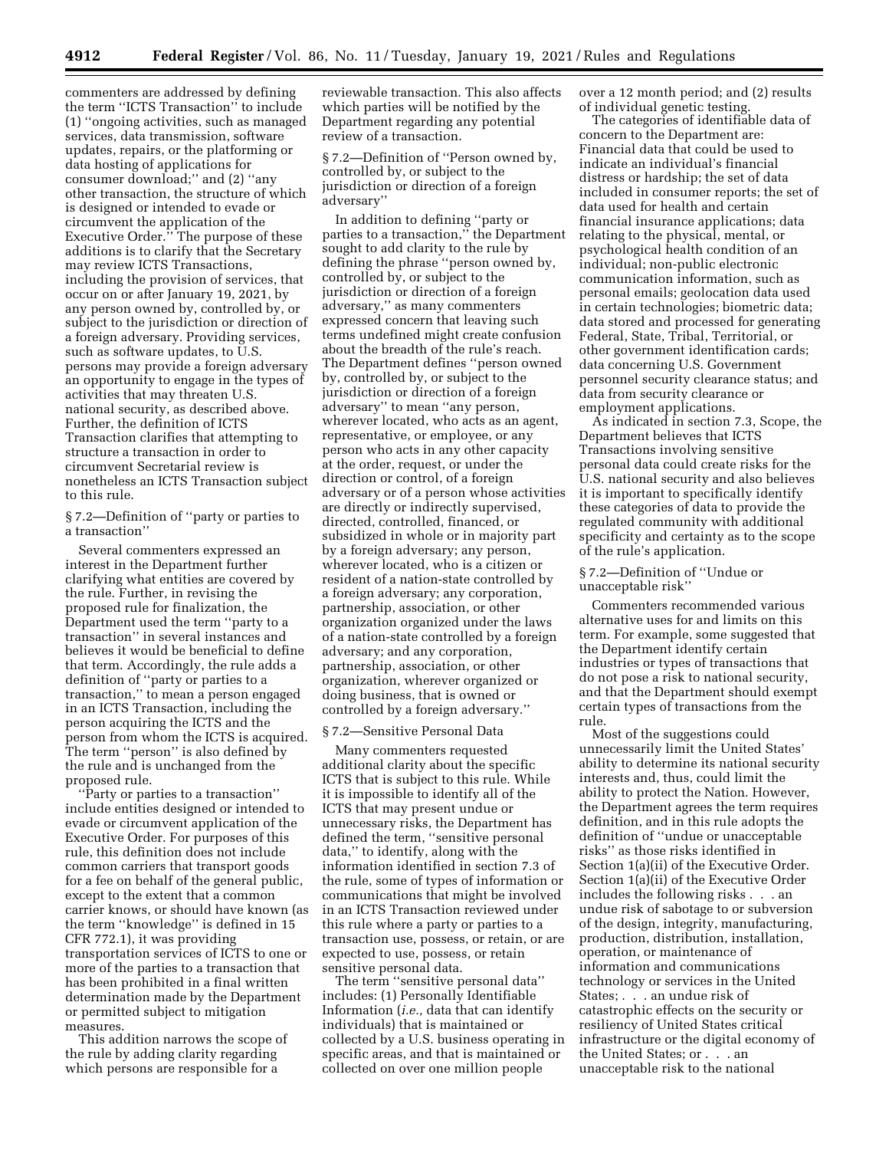commenters are addressed by defining the term ''ICTS Transaction'' to include (1) ''ongoing activities, such as managed services, data transmission, software updates, repairs, or the platforming or data hosting of applications for consumer download;'' and (2) ''any other transaction, the structure of which is designed or intended to evade or circumvent the application of the Executive Order.'' The purpose of these additions is to clarify that the Secretary may review ICTS Transactions, including the provision of services, that occur on or after January 19, 2021, by any person owned by, controlled by, or subject to the jurisdiction or direction of a foreign adversary. Providing services, such as software updates, to U.S. persons may provide a foreign adversary an opportunity to engage in the types of activities that may threaten U.S. national security, as described above. Further, the definition of ICTS Transaction clarifies that attempting to structure a transaction in order to circumvent Secretarial review is nonetheless an ICTS Transaction subject to this rule.

§ 7.2—Definition of ''party or parties to a transaction''

Several commenters expressed an interest in the Department further clarifying what entities are covered by the rule. Further, in revising the proposed rule for finalization, the Department used the term ''party to a transaction'' in several instances and believes it would be beneficial to define that term. Accordingly, the rule adds a definition of ''party or parties to a transaction,'' to mean a person engaged in an ICTS Transaction, including the person acquiring the ICTS and the person from whom the ICTS is acquired. The term ''person'' is also defined by the rule and is unchanged from the proposed rule.

''Party or parties to a transaction'' include entities designed or intended to evade or circumvent application of the Executive Order. For purposes of this rule, this definition does not include common carriers that transport goods for a fee on behalf of the general public, except to the extent that a common carrier knows, or should have known (as the term ''knowledge'' is defined in 15 CFR 772.1), it was providing transportation services of ICTS to one or more of the parties to a transaction that has been prohibited in a final written determination made by the Department or permitted subject to mitigation measures.

This addition narrows the scope of the rule by adding clarity regarding which persons are responsible for a

reviewable transaction. This also affects which parties will be notified by the Department regarding any potential review of a transaction.

§ 7.2—Definition of ''Person owned by, controlled by, or subject to the jurisdiction or direction of a foreign adversary''

In addition to defining ''party or parties to a transaction,'' the Department sought to add clarity to the rule by defining the phrase ''person owned by, controlled by, or subject to the jurisdiction or direction of a foreign adversary,'' as many commenters expressed concern that leaving such terms undefined might create confusion about the breadth of the rule's reach. The Department defines ''person owned by, controlled by, or subject to the jurisdiction or direction of a foreign adversary'' to mean ''any person, wherever located, who acts as an agent, representative, or employee, or any person who acts in any other capacity at the order, request, or under the direction or control, of a foreign adversary or of a person whose activities are directly or indirectly supervised, directed, controlled, financed, or subsidized in whole or in majority part by a foreign adversary; any person, wherever located, who is a citizen or resident of a nation-state controlled by a foreign adversary; any corporation, partnership, association, or other organization organized under the laws of a nation-state controlled by a foreign adversary; and any corporation, partnership, association, or other organization, wherever organized or doing business, that is owned or controlled by a foreign adversary.''

#### § 7.2—Sensitive Personal Data

Many commenters requested additional clarity about the specific ICTS that is subject to this rule. While it is impossible to identify all of the ICTS that may present undue or unnecessary risks, the Department has defined the term, ''sensitive personal data,'' to identify, along with the information identified in section 7.3 of the rule, some of types of information or communications that might be involved in an ICTS Transaction reviewed under this rule where a party or parties to a transaction use, possess, or retain, or are expected to use, possess, or retain sensitive personal data.

The term ''sensitive personal data'' includes: (1) Personally Identifiable Information (*i.e.,* data that can identify individuals) that is maintained or collected by a U.S. business operating in specific areas, and that is maintained or collected on over one million people

over a 12 month period; and (2) results of individual genetic testing.

The categories of identifiable data of concern to the Department are: Financial data that could be used to indicate an individual's financial distress or hardship; the set of data included in consumer reports; the set of data used for health and certain financial insurance applications; data relating to the physical, mental, or psychological health condition of an individual; non-public electronic communication information, such as personal emails; geolocation data used in certain technologies; biometric data; data stored and processed for generating Federal, State, Tribal, Territorial, or other government identification cards; data concerning U.S. Government personnel security clearance status; and data from security clearance or employment applications.

As indicated in section 7.3, Scope, the Department believes that ICTS Transactions involving sensitive personal data could create risks for the U.S. national security and also believes it is important to specifically identify these categories of data to provide the regulated community with additional specificity and certainty as to the scope of the rule's application.

§ 7.2—Definition of ''Undue or unacceptable risk''

Commenters recommended various alternative uses for and limits on this term. For example, some suggested that the Department identify certain industries or types of transactions that do not pose a risk to national security, and that the Department should exempt certain types of transactions from the rule.

Most of the suggestions could unnecessarily limit the United States' ability to determine its national security interests and, thus, could limit the ability to protect the Nation. However, the Department agrees the term requires definition, and in this rule adopts the definition of ''undue or unacceptable risks'' as those risks identified in Section 1(a)(ii) of the Executive Order. Section 1(a)(ii) of the Executive Order includes the following risks . . . an undue risk of sabotage to or subversion of the design, integrity, manufacturing, production, distribution, installation, operation, or maintenance of information and communications technology or services in the United States; . . . an undue risk of catastrophic effects on the security or resiliency of United States critical infrastructure or the digital economy of the United States; or . . . an unacceptable risk to the national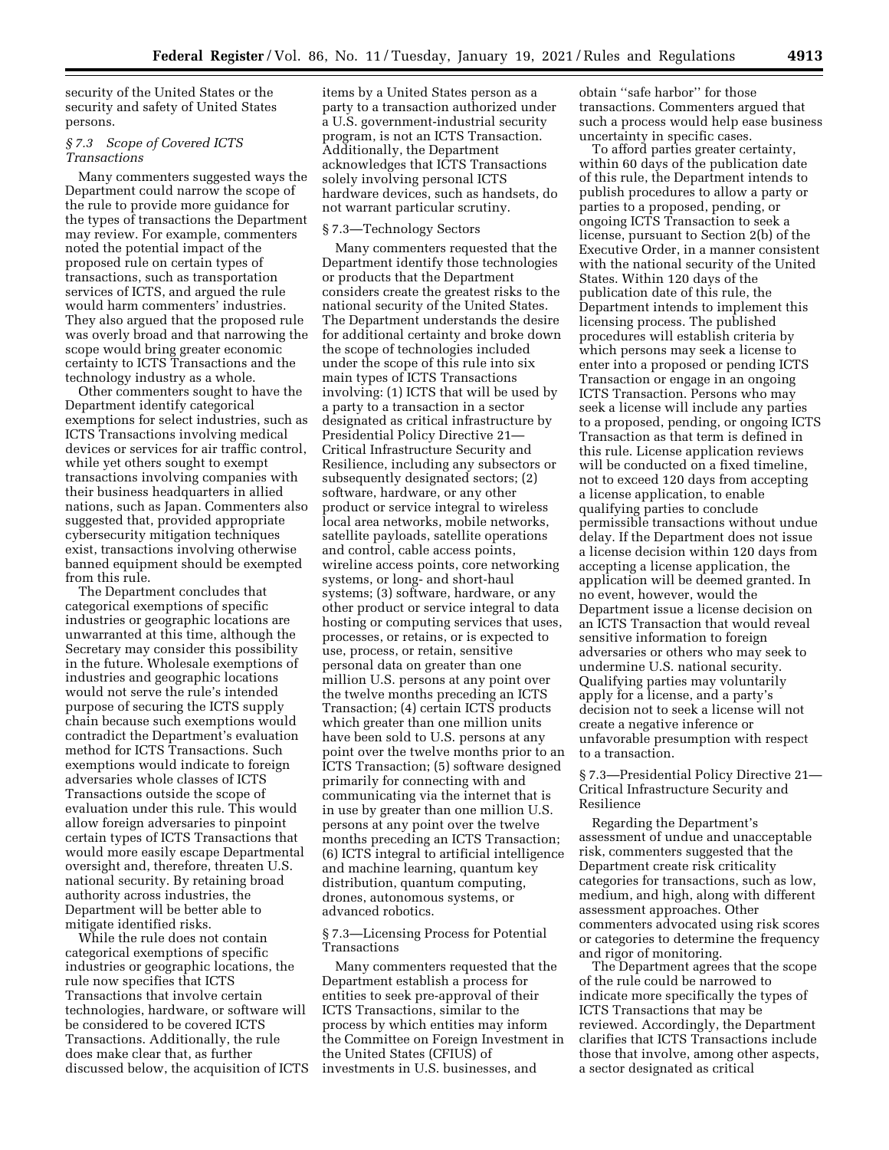security of the United States or the security and safety of United States persons.

## *§ 7.3 Scope of Covered ICTS Transactions*

Many commenters suggested ways the Department could narrow the scope of the rule to provide more guidance for the types of transactions the Department may review. For example, commenters noted the potential impact of the proposed rule on certain types of transactions, such as transportation services of ICTS, and argued the rule would harm commenters' industries. They also argued that the proposed rule was overly broad and that narrowing the scope would bring greater economic certainty to ICTS Transactions and the technology industry as a whole.

Other commenters sought to have the Department identify categorical exemptions for select industries, such as ICTS Transactions involving medical devices or services for air traffic control, while yet others sought to exempt transactions involving companies with their business headquarters in allied nations, such as Japan. Commenters also suggested that, provided appropriate cybersecurity mitigation techniques exist, transactions involving otherwise banned equipment should be exempted from this rule.

The Department concludes that categorical exemptions of specific industries or geographic locations are unwarranted at this time, although the Secretary may consider this possibility in the future. Wholesale exemptions of industries and geographic locations would not serve the rule's intended purpose of securing the ICTS supply chain because such exemptions would contradict the Department's evaluation method for ICTS Transactions. Such exemptions would indicate to foreign adversaries whole classes of ICTS Transactions outside the scope of evaluation under this rule. This would allow foreign adversaries to pinpoint certain types of ICTS Transactions that would more easily escape Departmental oversight and, therefore, threaten U.S. national security. By retaining broad authority across industries, the Department will be better able to mitigate identified risks.

While the rule does not contain categorical exemptions of specific industries or geographic locations, the rule now specifies that ICTS Transactions that involve certain technologies, hardware, or software will be considered to be covered ICTS Transactions. Additionally, the rule does make clear that, as further discussed below, the acquisition of ICTS

items by a United States person as a party to a transaction authorized under a U.S. government-industrial security program, is not an ICTS Transaction. Additionally, the Department acknowledges that ICTS Transactions solely involving personal ICTS hardware devices, such as handsets, do not warrant particular scrutiny.

## § 7.3—Technology Sectors

Many commenters requested that the Department identify those technologies or products that the Department considers create the greatest risks to the national security of the United States. The Department understands the desire for additional certainty and broke down the scope of technologies included under the scope of this rule into six main types of ICTS Transactions involving: (1) ICTS that will be used by a party to a transaction in a sector designated as critical infrastructure by Presidential Policy Directive 21— Critical Infrastructure Security and Resilience, including any subsectors or subsequently designated sectors; (2) software, hardware, or any other product or service integral to wireless local area networks, mobile networks, satellite payloads, satellite operations and control, cable access points, wireline access points, core networking systems, or long- and short-haul systems; (3) software, hardware, or any other product or service integral to data hosting or computing services that uses, processes, or retains, or is expected to use, process, or retain, sensitive personal data on greater than one million U.S. persons at any point over the twelve months preceding an ICTS Transaction; (4) certain ICTS products which greater than one million units have been sold to U.S. persons at any point over the twelve months prior to an ICTS Transaction; (5) software designed primarily for connecting with and communicating via the internet that is in use by greater than one million U.S. persons at any point over the twelve months preceding an ICTS Transaction; (6) ICTS integral to artificial intelligence and machine learning, quantum key distribution, quantum computing, drones, autonomous systems, or advanced robotics.

§ 7.3—Licensing Process for Potential Transactions

Many commenters requested that the Department establish a process for entities to seek pre-approval of their ICTS Transactions, similar to the process by which entities may inform the Committee on Foreign Investment in the United States (CFIUS) of investments in U.S. businesses, and

obtain ''safe harbor'' for those transactions. Commenters argued that such a process would help ease business uncertainty in specific cases.

To afford parties greater certainty, within 60 days of the publication date of this rule, the Department intends to publish procedures to allow a party or parties to a proposed, pending, or ongoing ICTS Transaction to seek a license, pursuant to Section 2(b) of the Executive Order, in a manner consistent with the national security of the United States. Within 120 days of the publication date of this rule, the Department intends to implement this licensing process. The published procedures will establish criteria by which persons may seek a license to enter into a proposed or pending ICTS Transaction or engage in an ongoing ICTS Transaction. Persons who may seek a license will include any parties to a proposed, pending, or ongoing ICTS Transaction as that term is defined in this rule. License application reviews will be conducted on a fixed timeline, not to exceed 120 days from accepting a license application, to enable qualifying parties to conclude permissible transactions without undue delay. If the Department does not issue a license decision within 120 days from accepting a license application, the application will be deemed granted. In no event, however, would the Department issue a license decision on an ICTS Transaction that would reveal sensitive information to foreign adversaries or others who may seek to undermine U.S. national security. Qualifying parties may voluntarily apply for a license, and a party's decision not to seek a license will not create a negative inference or unfavorable presumption with respect to a transaction.

§ 7.3—Presidential Policy Directive 21— Critical Infrastructure Security and Resilience

Regarding the Department's assessment of undue and unacceptable risk, commenters suggested that the Department create risk criticality categories for transactions, such as low, medium, and high, along with different assessment approaches. Other commenters advocated using risk scores or categories to determine the frequency and rigor of monitoring.

The Department agrees that the scope of the rule could be narrowed to indicate more specifically the types of ICTS Transactions that may be reviewed. Accordingly, the Department clarifies that ICTS Transactions include those that involve, among other aspects, a sector designated as critical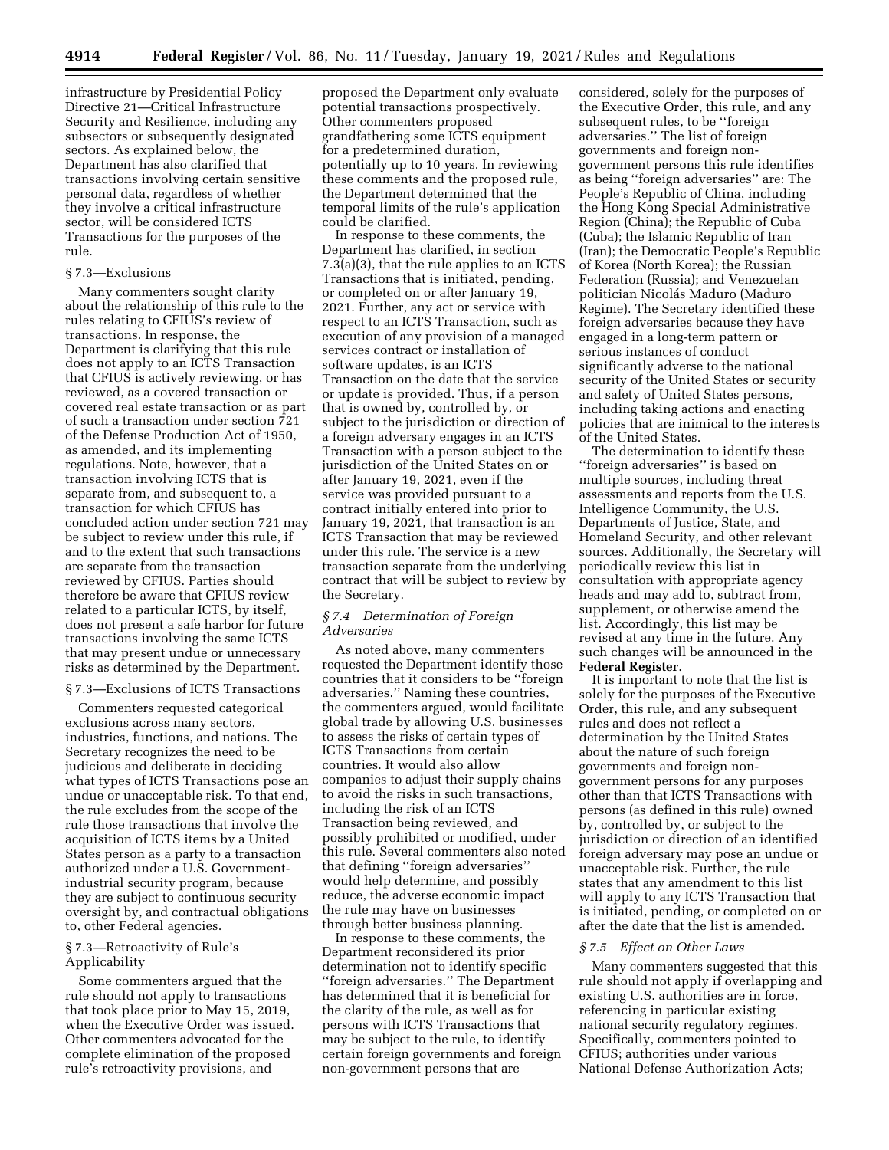infrastructure by Presidential Policy Directive 21—Critical Infrastructure Security and Resilience, including any subsectors or subsequently designated sectors. As explained below, the Department has also clarified that transactions involving certain sensitive personal data, regardless of whether they involve a critical infrastructure sector, will be considered ICTS Transactions for the purposes of the rule.

## § 7.3—Exclusions

Many commenters sought clarity about the relationship of this rule to the rules relating to CFIUS's review of transactions. In response, the Department is clarifying that this rule does not apply to an ICTS Transaction that CFIUS is actively reviewing, or has reviewed, as a covered transaction or covered real estate transaction or as part of such a transaction under section 721 of the Defense Production Act of 1950, as amended, and its implementing regulations. Note, however, that a transaction involving ICTS that is separate from, and subsequent to, a transaction for which CFIUS has concluded action under section 721 may be subject to review under this rule, if and to the extent that such transactions are separate from the transaction reviewed by CFIUS. Parties should therefore be aware that CFIUS review related to a particular ICTS, by itself, does not present a safe harbor for future transactions involving the same ICTS that may present undue or unnecessary risks as determined by the Department.

# § 7.3—Exclusions of ICTS Transactions

Commenters requested categorical exclusions across many sectors, industries, functions, and nations. The Secretary recognizes the need to be judicious and deliberate in deciding what types of ICTS Transactions pose an undue or unacceptable risk. To that end, the rule excludes from the scope of the rule those transactions that involve the acquisition of ICTS items by a United States person as a party to a transaction authorized under a U.S. Governmentindustrial security program, because they are subject to continuous security oversight by, and contractual obligations to, other Federal agencies.

# § 7.3—Retroactivity of Rule's Applicability

Some commenters argued that the rule should not apply to transactions that took place prior to May 15, 2019, when the Executive Order was issued. Other commenters advocated for the complete elimination of the proposed rule's retroactivity provisions, and

proposed the Department only evaluate potential transactions prospectively. Other commenters proposed grandfathering some ICTS equipment for a predetermined duration, potentially up to 10 years. In reviewing these comments and the proposed rule, the Department determined that the temporal limits of the rule's application could be clarified.

In response to these comments, the Department has clarified, in section 7.3(a)(3), that the rule applies to an ICTS Transactions that is initiated, pending, or completed on or after January 19, 2021. Further, any act or service with respect to an ICTS Transaction, such as execution of any provision of a managed services contract or installation of software updates, is an ICTS Transaction on the date that the service or update is provided. Thus, if a person that is owned by, controlled by, or subject to the jurisdiction or direction of a foreign adversary engages in an ICTS Transaction with a person subject to the jurisdiction of the United States on or after January 19, 2021, even if the service was provided pursuant to a contract initially entered into prior to January 19, 2021, that transaction is an ICTS Transaction that may be reviewed under this rule. The service is a new transaction separate from the underlying contract that will be subject to review by the Secretary.

# *§ 7.4 Determination of Foreign Adversaries*

As noted above, many commenters requested the Department identify those countries that it considers to be ''foreign adversaries.'' Naming these countries, the commenters argued, would facilitate global trade by allowing U.S. businesses to assess the risks of certain types of ICTS Transactions from certain countries. It would also allow companies to adjust their supply chains to avoid the risks in such transactions, including the risk of an ICTS Transaction being reviewed, and possibly prohibited or modified, under this rule. Several commenters also noted that defining ''foreign adversaries'' would help determine, and possibly reduce, the adverse economic impact the rule may have on businesses through better business planning.

In response to these comments, the Department reconsidered its prior determination not to identify specific ''foreign adversaries.'' The Department has determined that it is beneficial for the clarity of the rule, as well as for persons with ICTS Transactions that may be subject to the rule, to identify certain foreign governments and foreign non-government persons that are

considered, solely for the purposes of the Executive Order, this rule, and any subsequent rules, to be ''foreign adversaries.'' The list of foreign governments and foreign nongovernment persons this rule identifies as being ''foreign adversaries'' are: The People's Republic of China, including the Hong Kong Special Administrative Region (China); the Republic of Cuba (Cuba); the Islamic Republic of Iran (Iran); the Democratic People's Republic of Korea (North Korea); the Russian Federation (Russia); and Venezuelan politician Nicolás Maduro (Maduro Regime). The Secretary identified these foreign adversaries because they have engaged in a long-term pattern or serious instances of conduct significantly adverse to the national security of the United States or security and safety of United States persons, including taking actions and enacting policies that are inimical to the interests of the United States.

The determination to identify these ''foreign adversaries'' is based on multiple sources, including threat assessments and reports from the U.S. Intelligence Community, the U.S. Departments of Justice, State, and Homeland Security, and other relevant sources. Additionally, the Secretary will periodically review this list in consultation with appropriate agency heads and may add to, subtract from, supplement, or otherwise amend the list. Accordingly, this list may be revised at any time in the future. Any such changes will be announced in the **Federal Register**.

It is important to note that the list is solely for the purposes of the Executive Order, this rule, and any subsequent rules and does not reflect a determination by the United States about the nature of such foreign governments and foreign nongovernment persons for any purposes other than that ICTS Transactions with persons (as defined in this rule) owned by, controlled by, or subject to the jurisdiction or direction of an identified foreign adversary may pose an undue or unacceptable risk. Further, the rule states that any amendment to this list will apply to any ICTS Transaction that is initiated, pending, or completed on or after the date that the list is amended.

### *§ 7.5 Effect on Other Laws*

Many commenters suggested that this rule should not apply if overlapping and existing U.S. authorities are in force, referencing in particular existing national security regulatory regimes. Specifically, commenters pointed to CFIUS; authorities under various National Defense Authorization Acts;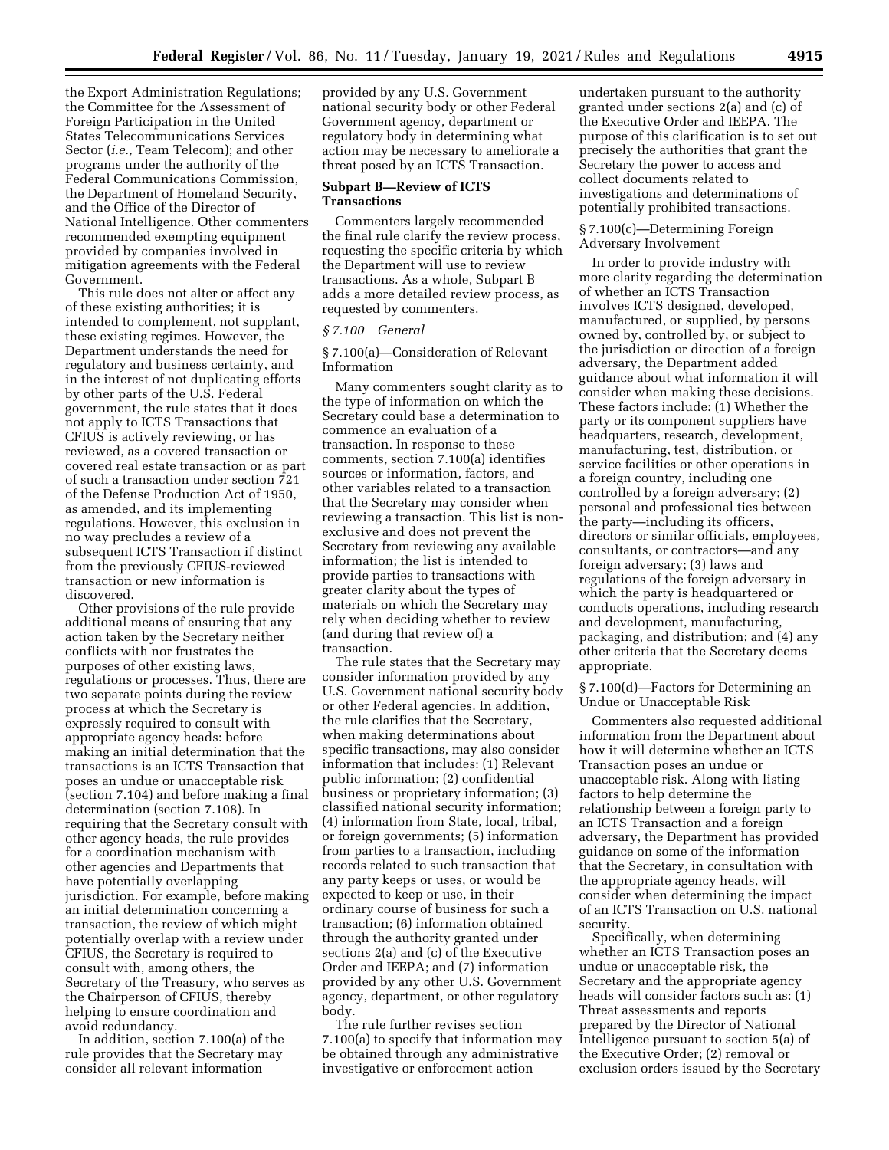the Export Administration Regulations; the Committee for the Assessment of Foreign Participation in the United States Telecommunications Services Sector (*i.e.,* Team Telecom); and other programs under the authority of the Federal Communications Commission, the Department of Homeland Security, and the Office of the Director of National Intelligence. Other commenters recommended exempting equipment provided by companies involved in mitigation agreements with the Federal Government.

This rule does not alter or affect any of these existing authorities; it is intended to complement, not supplant, these existing regimes. However, the Department understands the need for regulatory and business certainty, and in the interest of not duplicating efforts by other parts of the U.S. Federal government, the rule states that it does not apply to ICTS Transactions that CFIUS is actively reviewing, or has reviewed, as a covered transaction or covered real estate transaction or as part of such a transaction under section 721 of the Defense Production Act of 1950, as amended, and its implementing regulations. However, this exclusion in no way precludes a review of a subsequent ICTS Transaction if distinct from the previously CFIUS-reviewed transaction or new information is discovered.

Other provisions of the rule provide additional means of ensuring that any action taken by the Secretary neither conflicts with nor frustrates the purposes of other existing laws, regulations or processes. Thus, there are two separate points during the review process at which the Secretary is expressly required to consult with appropriate agency heads: before making an initial determination that the transactions is an ICTS Transaction that poses an undue or unacceptable risk (section 7.104) and before making a final determination (section 7.108). In requiring that the Secretary consult with other agency heads, the rule provides for a coordination mechanism with other agencies and Departments that have potentially overlapping jurisdiction. For example, before making an initial determination concerning a transaction, the review of which might potentially overlap with a review under CFIUS, the Secretary is required to consult with, among others, the Secretary of the Treasury, who serves as the Chairperson of CFIUS, thereby helping to ensure coordination and avoid redundancy.

In addition, section 7.100(a) of the rule provides that the Secretary may consider all relevant information

provided by any U.S. Government national security body or other Federal Government agency, department or regulatory body in determining what action may be necessary to ameliorate a threat posed by an ICTS Transaction.

## **Subpart B—Review of ICTS Transactions**

Commenters largely recommended the final rule clarify the review process, requesting the specific criteria by which the Department will use to review transactions. As a whole, Subpart B adds a more detailed review process, as requested by commenters.

#### *§ 7.100 General*

§ 7.100(a)—Consideration of Relevant Information

Many commenters sought clarity as to the type of information on which the Secretary could base a determination to commence an evaluation of a transaction. In response to these comments, section 7.100(a) identifies sources or information, factors, and other variables related to a transaction that the Secretary may consider when reviewing a transaction. This list is nonexclusive and does not prevent the Secretary from reviewing any available information; the list is intended to provide parties to transactions with greater clarity about the types of materials on which the Secretary may rely when deciding whether to review (and during that review of) a transaction.

The rule states that the Secretary may consider information provided by any U.S. Government national security body or other Federal agencies. In addition, the rule clarifies that the Secretary, when making determinations about specific transactions, may also consider information that includes: (1) Relevant public information; (2) confidential business or proprietary information; (3) classified national security information; (4) information from State, local, tribal, or foreign governments; (5) information from parties to a transaction, including records related to such transaction that any party keeps or uses, or would be expected to keep or use, in their ordinary course of business for such a transaction; (6) information obtained through the authority granted under sections 2(a) and (c) of the Executive Order and IEEPA; and (7) information provided by any other U.S. Government agency, department, or other regulatory body.

The rule further revises section 7.100(a) to specify that information may be obtained through any administrative investigative or enforcement action

undertaken pursuant to the authority granted under sections 2(a) and (c) of the Executive Order and IEEPA. The purpose of this clarification is to set out precisely the authorities that grant the Secretary the power to access and collect documents related to investigations and determinations of potentially prohibited transactions.

## § 7.100(c)—Determining Foreign Adversary Involvement

In order to provide industry with more clarity regarding the determination of whether an ICTS Transaction involves ICTS designed, developed, manufactured, or supplied, by persons owned by, controlled by, or subject to the jurisdiction or direction of a foreign adversary, the Department added guidance about what information it will consider when making these decisions. These factors include: (1) Whether the party or its component suppliers have headquarters, research, development, manufacturing, test, distribution, or service facilities or other operations in a foreign country, including one controlled by a foreign adversary; (2) personal and professional ties between the party—including its officers, directors or similar officials, employees, consultants, or contractors—and any foreign adversary; (3) laws and regulations of the foreign adversary in which the party is headquartered or conducts operations, including research and development, manufacturing, packaging, and distribution; and (4) any other criteria that the Secretary deems appropriate.

§ 7.100(d)—Factors for Determining an Undue or Unacceptable Risk

Commenters also requested additional information from the Department about how it will determine whether an ICTS Transaction poses an undue or unacceptable risk. Along with listing factors to help determine the relationship between a foreign party to an ICTS Transaction and a foreign adversary, the Department has provided guidance on some of the information that the Secretary, in consultation with the appropriate agency heads, will consider when determining the impact of an ICTS Transaction on U.S. national security.

Specifically, when determining whether an ICTS Transaction poses an undue or unacceptable risk, the Secretary and the appropriate agency heads will consider factors such as: (1) Threat assessments and reports prepared by the Director of National Intelligence pursuant to section 5(a) of the Executive Order; (2) removal or exclusion orders issued by the Secretary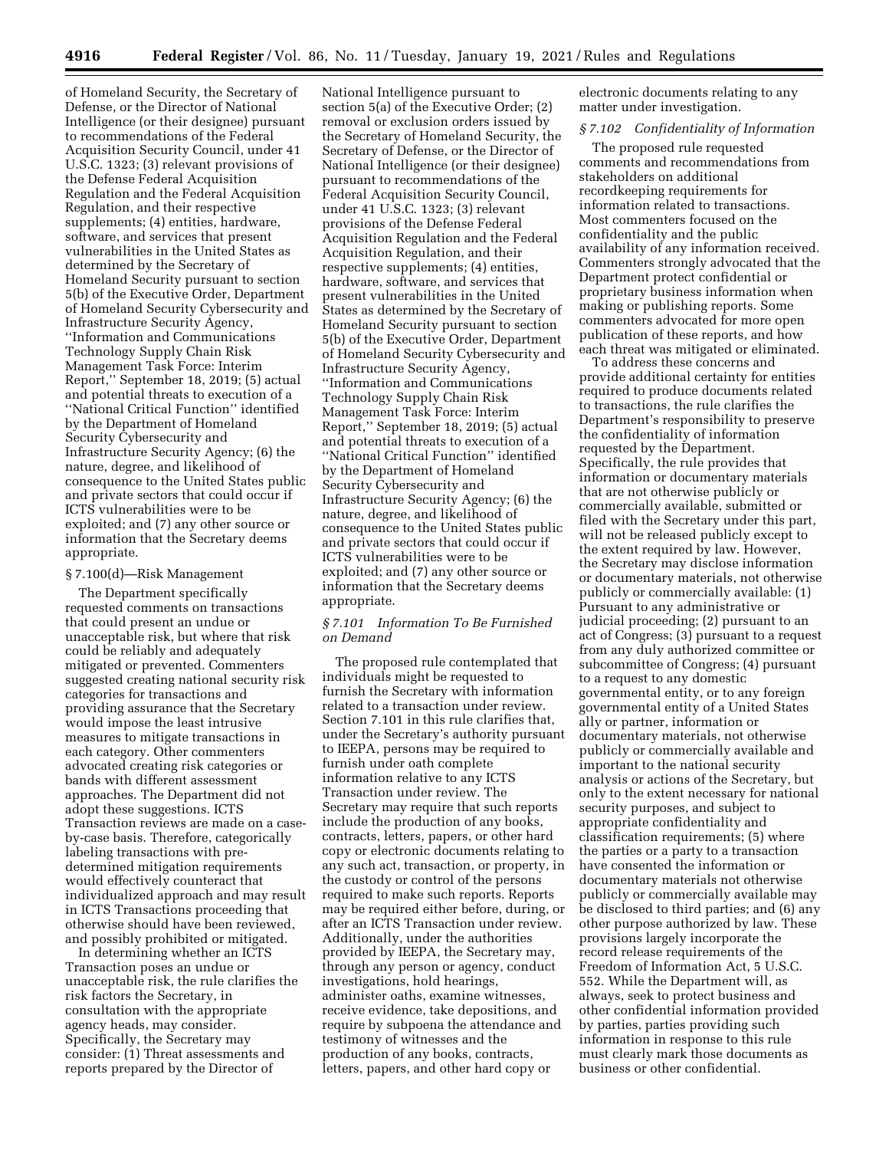of Homeland Security, the Secretary of Defense, or the Director of National Intelligence (or their designee) pursuant to recommendations of the Federal Acquisition Security Council, under 41 U.S.C. 1323; (3) relevant provisions of the Defense Federal Acquisition Regulation and the Federal Acquisition Regulation, and their respective supplements; (4) entities, hardware, software, and services that present vulnerabilities in the United States as determined by the Secretary of Homeland Security pursuant to section 5(b) of the Executive Order, Department of Homeland Security Cybersecurity and Infrastructure Security Agency, ''Information and Communications Technology Supply Chain Risk Management Task Force: Interim Report,'' September 18, 2019; (5) actual and potential threats to execution of a ''National Critical Function'' identified by the Department of Homeland Security Cybersecurity and Infrastructure Security Agency; (6) the nature, degree, and likelihood of consequence to the United States public and private sectors that could occur if ICTS vulnerabilities were to be exploited; and (7) any other source or information that the Secretary deems appropriate.

### § 7.100(d)—Risk Management

The Department specifically requested comments on transactions that could present an undue or unacceptable risk, but where that risk could be reliably and adequately mitigated or prevented. Commenters suggested creating national security risk categories for transactions and providing assurance that the Secretary would impose the least intrusive measures to mitigate transactions in each category. Other commenters advocated creating risk categories or bands with different assessment approaches. The Department did not adopt these suggestions. ICTS Transaction reviews are made on a caseby-case basis. Therefore, categorically labeling transactions with predetermined mitigation requirements would effectively counteract that individualized approach and may result in ICTS Transactions proceeding that otherwise should have been reviewed, and possibly prohibited or mitigated.

In determining whether an ICTS Transaction poses an undue or unacceptable risk, the rule clarifies the risk factors the Secretary, in consultation with the appropriate agency heads, may consider. Specifically, the Secretary may consider: (1) Threat assessments and reports prepared by the Director of

National Intelligence pursuant to section 5(a) of the Executive Order; (2) removal or exclusion orders issued by the Secretary of Homeland Security, the Secretary of Defense, or the Director of National Intelligence (or their designee) pursuant to recommendations of the Federal Acquisition Security Council, under 41 U.S.C. 1323; (3) relevant provisions of the Defense Federal Acquisition Regulation and the Federal Acquisition Regulation, and their respective supplements; (4) entities, hardware, software, and services that present vulnerabilities in the United States as determined by the Secretary of Homeland Security pursuant to section 5(b) of the Executive Order, Department of Homeland Security Cybersecurity and Infrastructure Security Agency, ''Information and Communications Technology Supply Chain Risk Management Task Force: Interim Report,'' September 18, 2019; (5) actual and potential threats to execution of a ''National Critical Function'' identified by the Department of Homeland Security Cybersecurity and Infrastructure Security Agency; (6) the nature, degree, and likelihood of consequence to the United States public and private sectors that could occur if ICTS vulnerabilities were to be exploited; and (7) any other source or information that the Secretary deems appropriate.

### *§ 7.101 Information To Be Furnished on Demand*

The proposed rule contemplated that individuals might be requested to furnish the Secretary with information related to a transaction under review. Section 7.101 in this rule clarifies that, under the Secretary's authority pursuant to IEEPA, persons may be required to furnish under oath complete information relative to any ICTS Transaction under review. The Secretary may require that such reports include the production of any books, contracts, letters, papers, or other hard copy or electronic documents relating to any such act, transaction, or property, in the custody or control of the persons required to make such reports. Reports may be required either before, during, or after an ICTS Transaction under review. Additionally, under the authorities provided by IEEPA, the Secretary may, through any person or agency, conduct investigations, hold hearings, administer oaths, examine witnesses, receive evidence, take depositions, and require by subpoena the attendance and testimony of witnesses and the production of any books, contracts, letters, papers, and other hard copy or

electronic documents relating to any matter under investigation.

## *§ 7.102 Confidentiality of Information*

The proposed rule requested comments and recommendations from stakeholders on additional recordkeeping requirements for information related to transactions. Most commenters focused on the confidentiality and the public availability of any information received. Commenters strongly advocated that the Department protect confidential or proprietary business information when making or publishing reports. Some commenters advocated for more open publication of these reports, and how each threat was mitigated or eliminated.

To address these concerns and provide additional certainty for entities required to produce documents related to transactions, the rule clarifies the Department's responsibility to preserve the confidentiality of information requested by the Department. Specifically, the rule provides that information or documentary materials that are not otherwise publicly or commercially available, submitted or filed with the Secretary under this part, will not be released publicly except to the extent required by law. However, the Secretary may disclose information or documentary materials, not otherwise publicly or commercially available: (1) Pursuant to any administrative or judicial proceeding; (2) pursuant to an act of Congress; (3) pursuant to a request from any duly authorized committee or subcommittee of Congress; (4) pursuant to a request to any domestic governmental entity, or to any foreign governmental entity of a United States ally or partner, information or documentary materials, not otherwise publicly or commercially available and important to the national security analysis or actions of the Secretary, but only to the extent necessary for national security purposes, and subject to appropriate confidentiality and classification requirements; (5) where the parties or a party to a transaction have consented the information or documentary materials not otherwise publicly or commercially available may be disclosed to third parties; and (6) any other purpose authorized by law. These provisions largely incorporate the record release requirements of the Freedom of Information Act, 5 U.S.C. 552. While the Department will, as always, seek to protect business and other confidential information provided by parties, parties providing such information in response to this rule must clearly mark those documents as business or other confidential.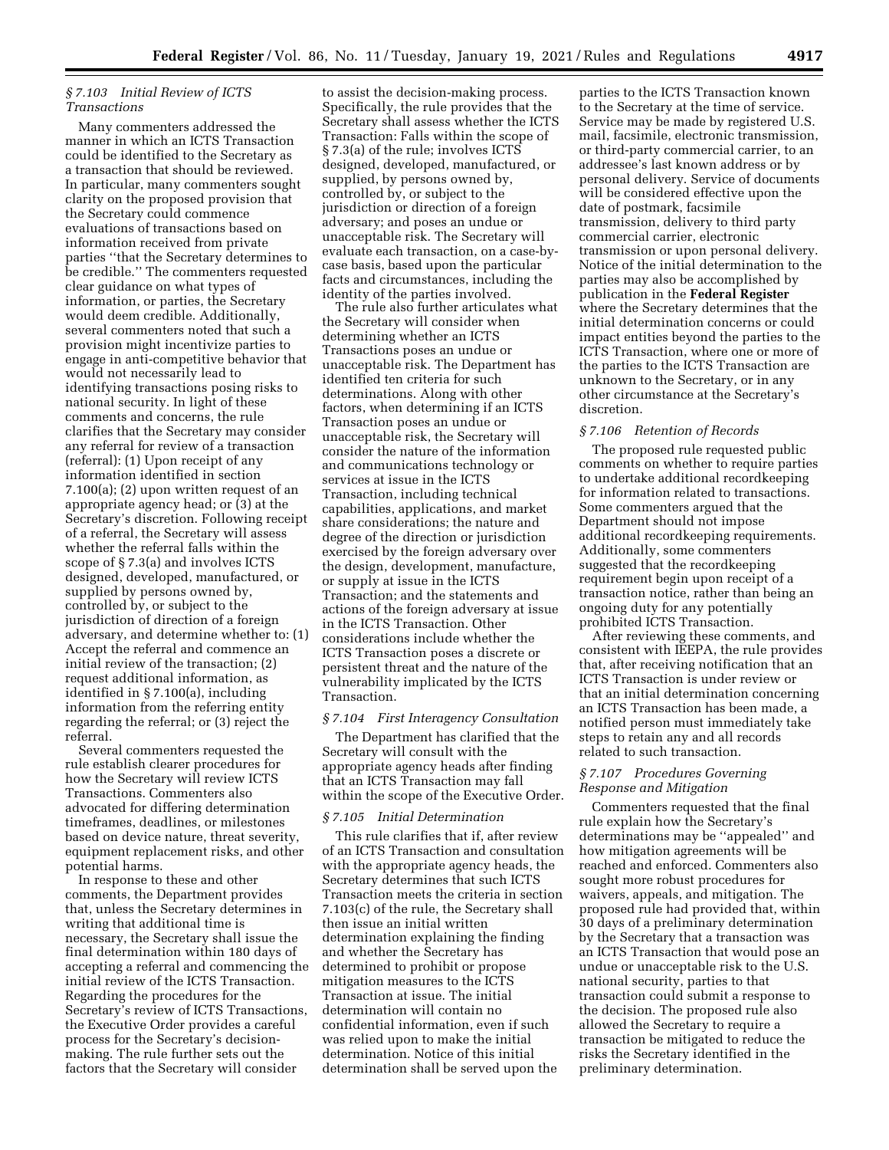# *§ 7.103 Initial Review of ICTS Transactions*

Many commenters addressed the manner in which an ICTS Transaction could be identified to the Secretary as a transaction that should be reviewed. In particular, many commenters sought clarity on the proposed provision that the Secretary could commence evaluations of transactions based on information received from private parties ''that the Secretary determines to be credible.'' The commenters requested clear guidance on what types of information, or parties, the Secretary would deem credible. Additionally, several commenters noted that such a provision might incentivize parties to engage in anti-competitive behavior that would not necessarily lead to identifying transactions posing risks to national security. In light of these comments and concerns, the rule clarifies that the Secretary may consider any referral for review of a transaction (referral): (1) Upon receipt of any information identified in section 7.100(a); (2) upon written request of an appropriate agency head; or (3) at the Secretary's discretion. Following receipt of a referral, the Secretary will assess whether the referral falls within the scope of § 7.3(a) and involves ICTS designed, developed, manufactured, or supplied by persons owned by, controlled by, or subject to the jurisdiction of direction of a foreign adversary, and determine whether to: (1) Accept the referral and commence an initial review of the transaction; (2) request additional information, as identified in § 7.100(a), including information from the referring entity regarding the referral; or (3) reject the referral.

Several commenters requested the rule establish clearer procedures for how the Secretary will review ICTS Transactions. Commenters also advocated for differing determination timeframes, deadlines, or milestones based on device nature, threat severity, equipment replacement risks, and other potential harms.

In response to these and other comments, the Department provides that, unless the Secretary determines in writing that additional time is necessary, the Secretary shall issue the final determination within 180 days of accepting a referral and commencing the initial review of the ICTS Transaction. Regarding the procedures for the Secretary's review of ICTS Transactions, the Executive Order provides a careful process for the Secretary's decisionmaking. The rule further sets out the factors that the Secretary will consider

to assist the decision-making process. Specifically, the rule provides that the Secretary shall assess whether the ICTS Transaction: Falls within the scope of § 7.3(a) of the rule; involves ICTS designed, developed, manufactured, or supplied, by persons owned by, controlled by, or subject to the jurisdiction or direction of a foreign adversary; and poses an undue or unacceptable risk. The Secretary will evaluate each transaction, on a case-bycase basis, based upon the particular facts and circumstances, including the identity of the parties involved.

The rule also further articulates what the Secretary will consider when determining whether an ICTS Transactions poses an undue or unacceptable risk. The Department has identified ten criteria for such determinations. Along with other factors, when determining if an ICTS Transaction poses an undue or unacceptable risk, the Secretary will consider the nature of the information and communications technology or services at issue in the ICTS Transaction, including technical capabilities, applications, and market share considerations; the nature and degree of the direction or jurisdiction exercised by the foreign adversary over the design, development, manufacture, or supply at issue in the ICTS Transaction; and the statements and actions of the foreign adversary at issue in the ICTS Transaction. Other considerations include whether the ICTS Transaction poses a discrete or persistent threat and the nature of the vulnerability implicated by the ICTS Transaction.

#### *§ 7.104 First Interagency Consultation*

The Department has clarified that the Secretary will consult with the appropriate agency heads after finding that an ICTS Transaction may fall within the scope of the Executive Order.

## *§ 7.105 Initial Determination*

This rule clarifies that if, after review of an ICTS Transaction and consultation with the appropriate agency heads, the Secretary determines that such ICTS Transaction meets the criteria in section 7.103(c) of the rule, the Secretary shall then issue an initial written determination explaining the finding and whether the Secretary has determined to prohibit or propose mitigation measures to the ICTS Transaction at issue. The initial determination will contain no confidential information, even if such was relied upon to make the initial determination. Notice of this initial determination shall be served upon the

parties to the ICTS Transaction known to the Secretary at the time of service. Service may be made by registered U.S. mail, facsimile, electronic transmission, or third-party commercial carrier, to an addressee's last known address or by personal delivery. Service of documents will be considered effective upon the date of postmark, facsimile transmission, delivery to third party commercial carrier, electronic transmission or upon personal delivery. Notice of the initial determination to the parties may also be accomplished by publication in the **Federal Register**  where the Secretary determines that the initial determination concerns or could impact entities beyond the parties to the ICTS Transaction, where one or more of the parties to the ICTS Transaction are unknown to the Secretary, or in any other circumstance at the Secretary's discretion.

## *§ 7.106 Retention of Records*

The proposed rule requested public comments on whether to require parties to undertake additional recordkeeping for information related to transactions. Some commenters argued that the Department should not impose additional recordkeeping requirements. Additionally, some commenters suggested that the recordkeeping requirement begin upon receipt of a transaction notice, rather than being an ongoing duty for any potentially prohibited ICTS Transaction.

After reviewing these comments, and consistent with IEEPA, the rule provides that, after receiving notification that an ICTS Transaction is under review or that an initial determination concerning an ICTS Transaction has been made, a notified person must immediately take steps to retain any and all records related to such transaction.

# *§ 7.107 Procedures Governing Response and Mitigation*

Commenters requested that the final rule explain how the Secretary's determinations may be ''appealed'' and how mitigation agreements will be reached and enforced. Commenters also sought more robust procedures for waivers, appeals, and mitigation. The proposed rule had provided that, within 30 days of a preliminary determination by the Secretary that a transaction was an ICTS Transaction that would pose an undue or unacceptable risk to the U.S. national security, parties to that transaction could submit a response to the decision. The proposed rule also allowed the Secretary to require a transaction be mitigated to reduce the risks the Secretary identified in the preliminary determination.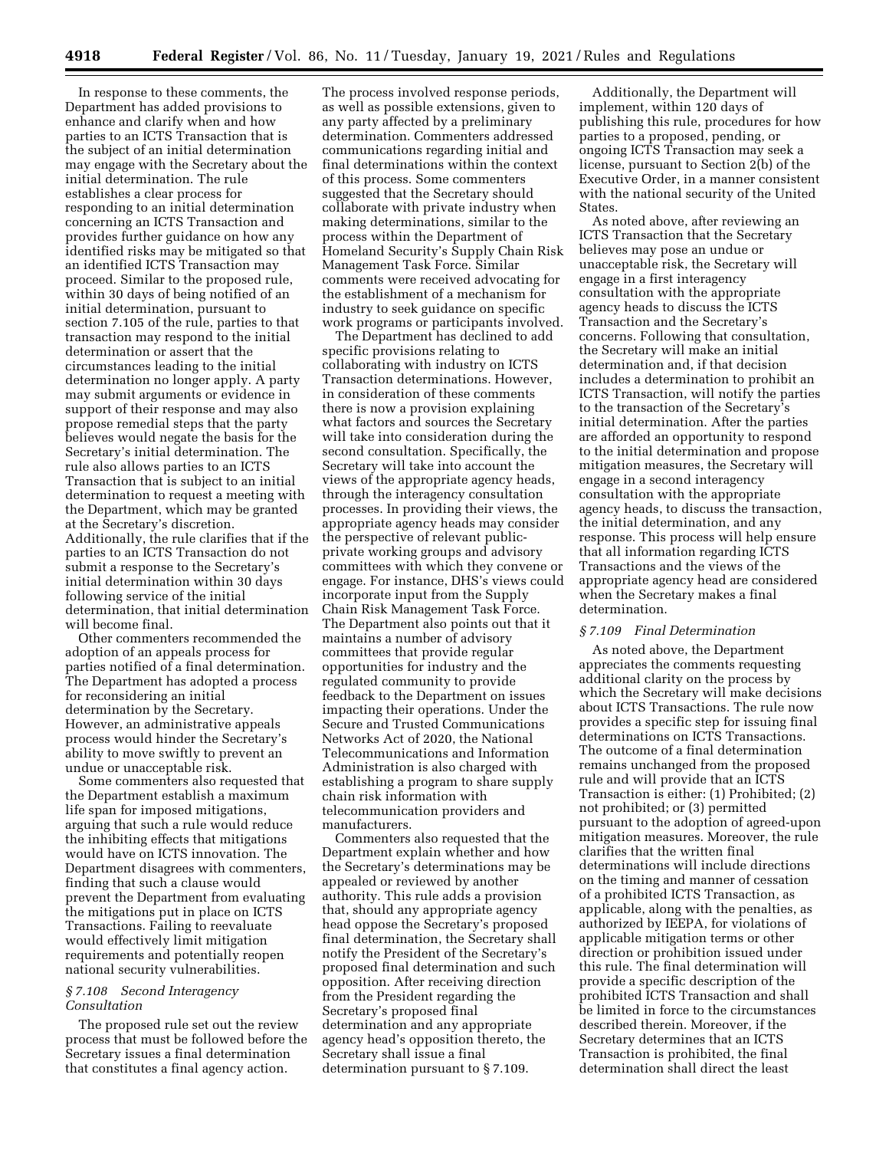In response to these comments, the Department has added provisions to enhance and clarify when and how parties to an ICTS Transaction that is the subject of an initial determination may engage with the Secretary about the initial determination. The rule establishes a clear process for responding to an initial determination concerning an ICTS Transaction and provides further guidance on how any identified risks may be mitigated so that an identified ICTS Transaction may proceed. Similar to the proposed rule, within 30 days of being notified of an initial determination, pursuant to section 7.105 of the rule, parties to that transaction may respond to the initial determination or assert that the circumstances leading to the initial determination no longer apply. A party may submit arguments or evidence in support of their response and may also propose remedial steps that the party believes would negate the basis for the Secretary's initial determination. The rule also allows parties to an ICTS Transaction that is subject to an initial determination to request a meeting with the Department, which may be granted at the Secretary's discretion. Additionally, the rule clarifies that if the parties to an ICTS Transaction do not submit a response to the Secretary's initial determination within 30 days following service of the initial determination, that initial determination will become final.

Other commenters recommended the adoption of an appeals process for parties notified of a final determination. The Department has adopted a process for reconsidering an initial determination by the Secretary. However, an administrative appeals process would hinder the Secretary's ability to move swiftly to prevent an undue or unacceptable risk.

Some commenters also requested that the Department establish a maximum life span for imposed mitigations, arguing that such a rule would reduce the inhibiting effects that mitigations would have on ICTS innovation. The Department disagrees with commenters, finding that such a clause would prevent the Department from evaluating the mitigations put in place on ICTS Transactions. Failing to reevaluate would effectively limit mitigation requirements and potentially reopen national security vulnerabilities.

# *§ 7.108 Second Interagency Consultation*

The proposed rule set out the review process that must be followed before the Secretary issues a final determination that constitutes a final agency action.

The process involved response periods, as well as possible extensions, given to any party affected by a preliminary determination. Commenters addressed communications regarding initial and final determinations within the context of this process. Some commenters suggested that the Secretary should collaborate with private industry when making determinations, similar to the process within the Department of Homeland Security's Supply Chain Risk Management Task Force. Similar comments were received advocating for the establishment of a mechanism for industry to seek guidance on specific work programs or participants involved.

The Department has declined to add specific provisions relating to collaborating with industry on ICTS Transaction determinations. However, in consideration of these comments there is now a provision explaining what factors and sources the Secretary will take into consideration during the second consultation. Specifically, the Secretary will take into account the views of the appropriate agency heads, through the interagency consultation processes. In providing their views, the appropriate agency heads may consider the perspective of relevant publicprivate working groups and advisory committees with which they convene or engage. For instance, DHS's views could incorporate input from the Supply Chain Risk Management Task Force. The Department also points out that it maintains a number of advisory committees that provide regular opportunities for industry and the regulated community to provide feedback to the Department on issues impacting their operations. Under the Secure and Trusted Communications Networks Act of 2020, the National Telecommunications and Information Administration is also charged with establishing a program to share supply chain risk information with telecommunication providers and manufacturers.

Commenters also requested that the Department explain whether and how the Secretary's determinations may be appealed or reviewed by another authority. This rule adds a provision that, should any appropriate agency head oppose the Secretary's proposed final determination, the Secretary shall notify the President of the Secretary's proposed final determination and such opposition. After receiving direction from the President regarding the Secretary's proposed final determination and any appropriate agency head's opposition thereto, the Secretary shall issue a final determination pursuant to § 7.109.

Additionally, the Department will implement, within 120 days of publishing this rule, procedures for how parties to a proposed, pending, or ongoing ICTS Transaction may seek a license, pursuant to Section 2(b) of the Executive Order, in a manner consistent with the national security of the United States.

As noted above, after reviewing an ICTS Transaction that the Secretary believes may pose an undue or unacceptable risk, the Secretary will engage in a first interagency consultation with the appropriate agency heads to discuss the ICTS Transaction and the Secretary's concerns. Following that consultation, the Secretary will make an initial determination and, if that decision includes a determination to prohibit an ICTS Transaction, will notify the parties to the transaction of the Secretary's initial determination. After the parties are afforded an opportunity to respond to the initial determination and propose mitigation measures, the Secretary will engage in a second interagency consultation with the appropriate agency heads, to discuss the transaction, the initial determination, and any response. This process will help ensure that all information regarding ICTS Transactions and the views of the appropriate agency head are considered when the Secretary makes a final determination.

# *§ 7.109 Final Determination*

As noted above, the Department appreciates the comments requesting additional clarity on the process by which the Secretary will make decisions about ICTS Transactions. The rule now provides a specific step for issuing final determinations on ICTS Transactions. The outcome of a final determination remains unchanged from the proposed rule and will provide that an ICTS Transaction is either: (1) Prohibited; (2) not prohibited; or (3) permitted pursuant to the adoption of agreed-upon mitigation measures. Moreover, the rule clarifies that the written final determinations will include directions on the timing and manner of cessation of a prohibited ICTS Transaction, as applicable, along with the penalties, as authorized by IEEPA, for violations of applicable mitigation terms or other direction or prohibition issued under this rule. The final determination will provide a specific description of the prohibited ICTS Transaction and shall be limited in force to the circumstances described therein. Moreover, if the Secretary determines that an ICTS Transaction is prohibited, the final determination shall direct the least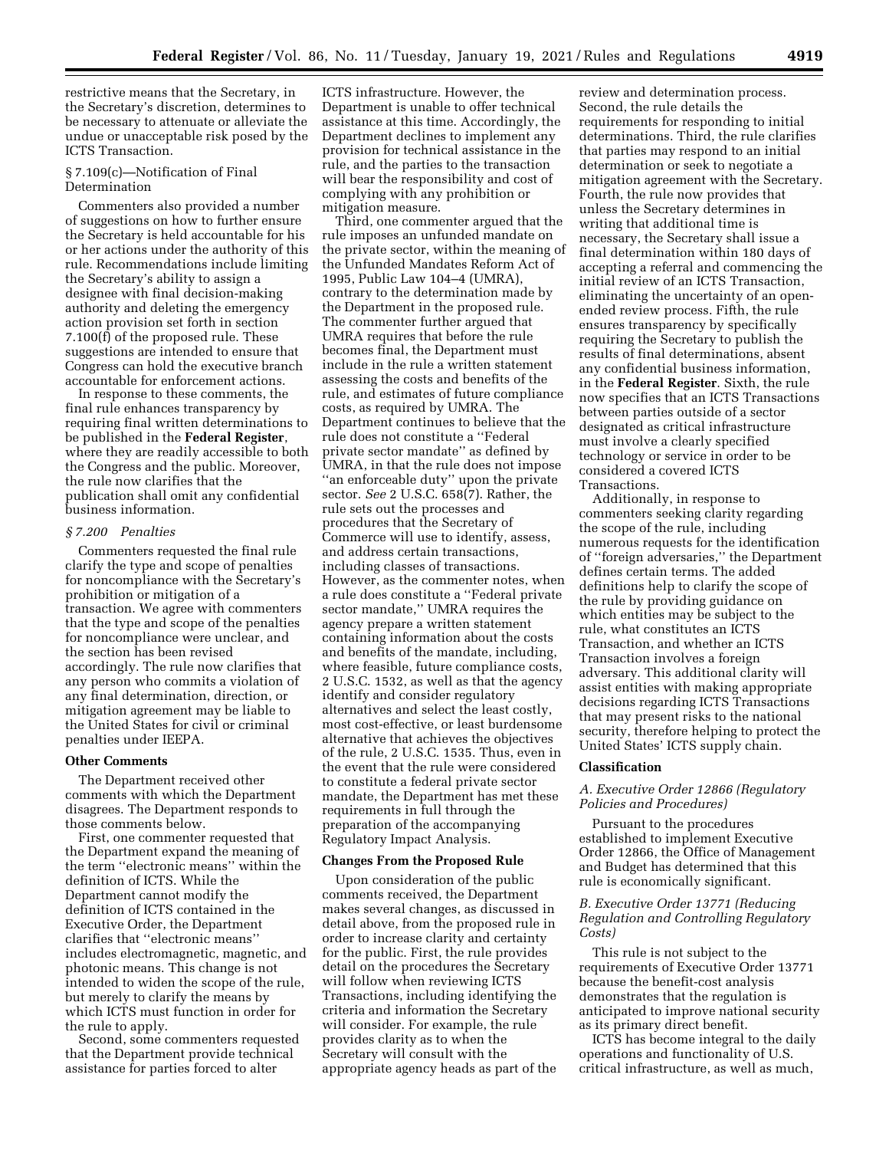restrictive means that the Secretary, in the Secretary's discretion, determines to be necessary to attenuate or alleviate the undue or unacceptable risk posed by the ICTS Transaction.

## § 7.109(c)—Notification of Final Determination

Commenters also provided a number of suggestions on how to further ensure the Secretary is held accountable for his or her actions under the authority of this rule. Recommendations include limiting the Secretary's ability to assign a designee with final decision-making authority and deleting the emergency action provision set forth in section 7.100(f) of the proposed rule. These suggestions are intended to ensure that Congress can hold the executive branch accountable for enforcement actions.

In response to these comments, the final rule enhances transparency by requiring final written determinations to be published in the **Federal Register**, where they are readily accessible to both the Congress and the public. Moreover, the rule now clarifies that the publication shall omit any confidential business information.

### *§ 7.200 Penalties*

Commenters requested the final rule clarify the type and scope of penalties for noncompliance with the Secretary's prohibition or mitigation of a transaction. We agree with commenters that the type and scope of the penalties for noncompliance were unclear, and the section has been revised accordingly. The rule now clarifies that any person who commits a violation of any final determination, direction, or mitigation agreement may be liable to the United States for civil or criminal penalties under IEEPA.

#### **Other Comments**

The Department received other comments with which the Department disagrees. The Department responds to those comments below.

First, one commenter requested that the Department expand the meaning of the term ''electronic means'' within the definition of ICTS. While the Department cannot modify the definition of ICTS contained in the Executive Order, the Department clarifies that ''electronic means'' includes electromagnetic, magnetic, and photonic means. This change is not intended to widen the scope of the rule, but merely to clarify the means by which ICTS must function in order for the rule to apply.

Second, some commenters requested that the Department provide technical assistance for parties forced to alter

ICTS infrastructure. However, the Department is unable to offer technical assistance at this time. Accordingly, the Department declines to implement any provision for technical assistance in the rule, and the parties to the transaction will bear the responsibility and cost of complying with any prohibition or mitigation measure.

Third, one commenter argued that the rule imposes an unfunded mandate on the private sector, within the meaning of the Unfunded Mandates Reform Act of 1995, Public Law 104–4 (UMRA), contrary to the determination made by the Department in the proposed rule. The commenter further argued that UMRA requires that before the rule becomes final, the Department must include in the rule a written statement assessing the costs and benefits of the rule, and estimates of future compliance costs, as required by UMRA. The Department continues to believe that the rule does not constitute a ''Federal private sector mandate'' as defined by UMRA, in that the rule does not impose ''an enforceable duty'' upon the private sector. *See* 2 U.S.C. 658(7). Rather, the rule sets out the processes and procedures that the Secretary of Commerce will use to identify, assess, and address certain transactions, including classes of transactions. However, as the commenter notes, when a rule does constitute a ''Federal private sector mandate,'' UMRA requires the agency prepare a written statement containing information about the costs and benefits of the mandate, including, where feasible, future compliance costs, 2 U.S.C. 1532, as well as that the agency identify and consider regulatory alternatives and select the least costly, most cost-effective, or least burdensome alternative that achieves the objectives of the rule, 2 U.S.C. 1535. Thus, even in the event that the rule were considered to constitute a federal private sector mandate, the Department has met these requirements in full through the preparation of the accompanying Regulatory Impact Analysis.

## **Changes From the Proposed Rule**

Upon consideration of the public comments received, the Department makes several changes, as discussed in detail above, from the proposed rule in order to increase clarity and certainty for the public. First, the rule provides detail on the procedures the Secretary will follow when reviewing ICTS Transactions, including identifying the criteria and information the Secretary will consider. For example, the rule provides clarity as to when the Secretary will consult with the appropriate agency heads as part of the

review and determination process. Second, the rule details the requirements for responding to initial determinations. Third, the rule clarifies that parties may respond to an initial determination or seek to negotiate a mitigation agreement with the Secretary. Fourth, the rule now provides that unless the Secretary determines in writing that additional time is necessary, the Secretary shall issue a final determination within 180 days of accepting a referral and commencing the initial review of an ICTS Transaction, eliminating the uncertainty of an openended review process. Fifth, the rule ensures transparency by specifically requiring the Secretary to publish the results of final determinations, absent any confidential business information, in the **Federal Register**. Sixth, the rule now specifies that an ICTS Transactions between parties outside of a sector designated as critical infrastructure must involve a clearly specified technology or service in order to be considered a covered ICTS Transactions.

Additionally, in response to commenters seeking clarity regarding the scope of the rule, including numerous requests for the identification of ''foreign adversaries,'' the Department defines certain terms. The added definitions help to clarify the scope of the rule by providing guidance on which entities may be subject to the rule, what constitutes an ICTS Transaction, and whether an ICTS Transaction involves a foreign adversary. This additional clarity will assist entities with making appropriate decisions regarding ICTS Transactions that may present risks to the national security, therefore helping to protect the United States' ICTS supply chain.

#### **Classification**

# *A. Executive Order 12866 (Regulatory Policies and Procedures)*

Pursuant to the procedures established to implement Executive Order 12866, the Office of Management and Budget has determined that this rule is economically significant.

# *B. Executive Order 13771 (Reducing Regulation and Controlling Regulatory Costs)*

This rule is not subject to the requirements of Executive Order 13771 because the benefit-cost analysis demonstrates that the regulation is anticipated to improve national security as its primary direct benefit.

ICTS has become integral to the daily operations and functionality of U.S. critical infrastructure, as well as much,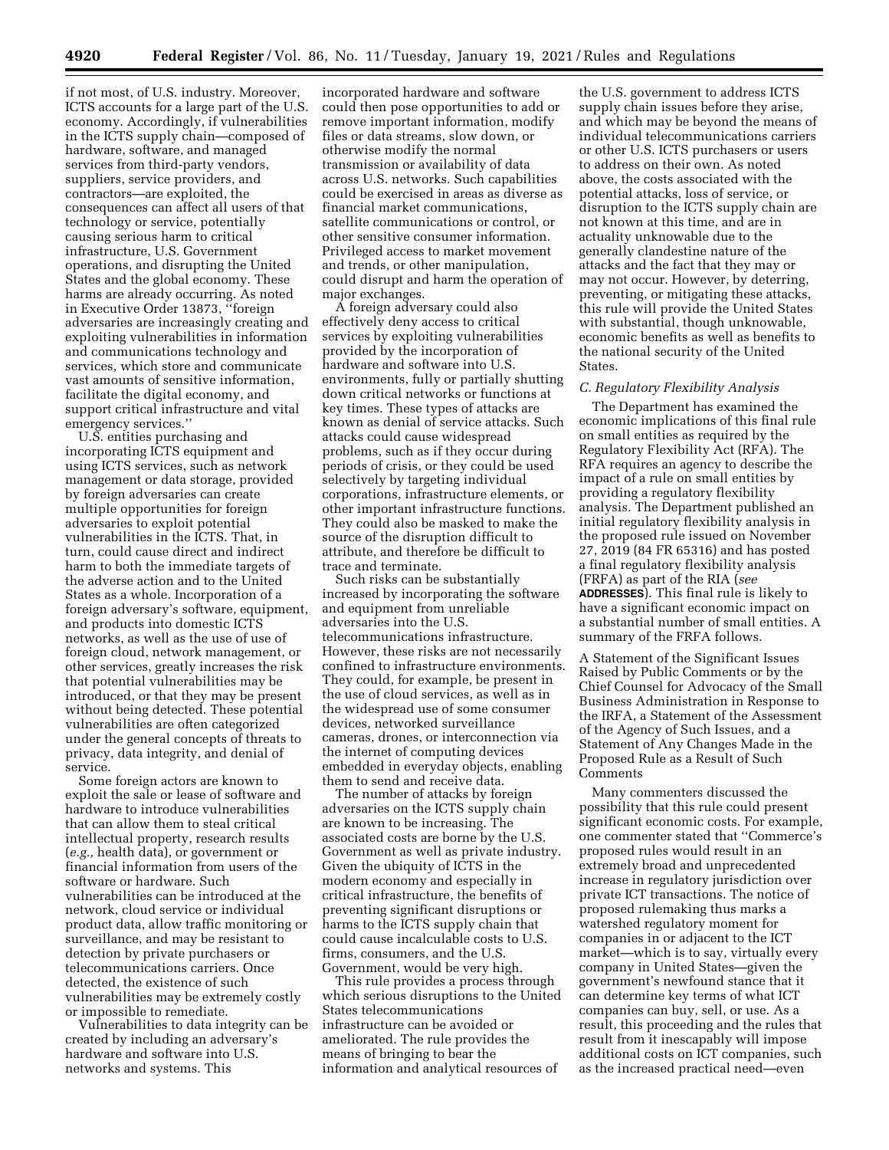if not most, of U.S. industry. Moreover, ICTS accounts for a large part of the U.S. economy. Accordingly, if vulnerabilities in the ICTS supply chain—composed of hardware, software, and managed services from third-party vendors, suppliers, service providers, and contractors—are exploited, the consequences can affect all users of that technology or service, potentially causing serious harm to critical infrastructure, U.S. Government operations, and disrupting the United States and the global economy. These harms are already occurring. As noted in Executive Order 13873, ''foreign adversaries are increasingly creating and exploiting vulnerabilities in information and communications technology and services, which store and communicate vast amounts of sensitive information, facilitate the digital economy, and support critical infrastructure and vital emergency services.''

U.S. entities purchasing and incorporating ICTS equipment and using ICTS services, such as network management or data storage, provided by foreign adversaries can create multiple opportunities for foreign adversaries to exploit potential vulnerabilities in the ICTS. That, in turn, could cause direct and indirect harm to both the immediate targets of the adverse action and to the United States as a whole. Incorporation of a foreign adversary's software, equipment, and products into domestic ICTS networks, as well as the use of use of foreign cloud, network management, or other services, greatly increases the risk that potential vulnerabilities may be introduced, or that they may be present without being detected. These potential vulnerabilities are often categorized under the general concepts of threats to privacy, data integrity, and denial of service.

Some foreign actors are known to exploit the sale or lease of software and hardware to introduce vulnerabilities that can allow them to steal critical intellectual property, research results (*e.g.,* health data), or government or financial information from users of the software or hardware. Such vulnerabilities can be introduced at the network, cloud service or individual product data, allow traffic monitoring or surveillance, and may be resistant to detection by private purchasers or telecommunications carriers. Once detected, the existence of such vulnerabilities may be extremely costly or impossible to remediate.

Vulnerabilities to data integrity can be created by including an adversary's hardware and software into U.S. networks and systems. This

incorporated hardware and software could then pose opportunities to add or remove important information, modify files or data streams, slow down, or otherwise modify the normal transmission or availability of data across U.S. networks. Such capabilities could be exercised in areas as diverse as financial market communications, satellite communications or control, or other sensitive consumer information. Privileged access to market movement and trends, or other manipulation, could disrupt and harm the operation of major exchanges.

A foreign adversary could also effectively deny access to critical services by exploiting vulnerabilities provided by the incorporation of hardware and software into U.S. environments, fully or partially shutting down critical networks or functions at key times. These types of attacks are known as denial of service attacks. Such attacks could cause widespread problems, such as if they occur during periods of crisis, or they could be used selectively by targeting individual corporations, infrastructure elements, or other important infrastructure functions. They could also be masked to make the source of the disruption difficult to attribute, and therefore be difficult to trace and terminate.

Such risks can be substantially increased by incorporating the software and equipment from unreliable adversaries into the U.S. telecommunications infrastructure. However, these risks are not necessarily confined to infrastructure environments. They could, for example, be present in the use of cloud services, as well as in the widespread use of some consumer devices, networked surveillance cameras, drones, or interconnection via the internet of computing devices embedded in everyday objects, enabling them to send and receive data.

The number of attacks by foreign adversaries on the ICTS supply chain are known to be increasing. The associated costs are borne by the U.S. Government as well as private industry. Given the ubiquity of ICTS in the modern economy and especially in critical infrastructure, the benefits of preventing significant disruptions or harms to the ICTS supply chain that could cause incalculable costs to U.S. firms, consumers, and the U.S. Government, would be very high.

This rule provides a process through which serious disruptions to the United States telecommunications infrastructure can be avoided or ameliorated. The rule provides the means of bringing to bear the information and analytical resources of

the U.S. government to address ICTS supply chain issues before they arise, and which may be beyond the means of individual telecommunications carriers or other U.S. ICTS purchasers or users to address on their own. As noted above, the costs associated with the potential attacks, loss of service, or disruption to the ICTS supply chain are not known at this time, and are in actuality unknowable due to the generally clandestine nature of the attacks and the fact that they may or may not occur. However, by deterring, preventing, or mitigating these attacks, this rule will provide the United States with substantial, though unknowable, economic benefits as well as benefits to the national security of the United States.

### *C. Regulatory Flexibility Analysis*

The Department has examined the economic implications of this final rule on small entities as required by the Regulatory Flexibility Act (RFA). The RFA requires an agency to describe the impact of a rule on small entities by providing a regulatory flexibility analysis. The Department published an initial regulatory flexibility analysis in the proposed rule issued on November 27, 2019 (84 FR 65316) and has posted a final regulatory flexibility analysis (FRFA) as part of the RIA (*see*  **ADDRESSES**). This final rule is likely to have a significant economic impact on a substantial number of small entities. A summary of the FRFA follows.

A Statement of the Significant Issues Raised by Public Comments or by the Chief Counsel for Advocacy of the Small Business Administration in Response to the IRFA, a Statement of the Assessment of the Agency of Such Issues, and a Statement of Any Changes Made in the Proposed Rule as a Result of Such Comments

Many commenters discussed the possibility that this rule could present significant economic costs. For example, one commenter stated that ''Commerce's proposed rules would result in an extremely broad and unprecedented increase in regulatory jurisdiction over private ICT transactions. The notice of proposed rulemaking thus marks a watershed regulatory moment for companies in or adjacent to the ICT market—which is to say, virtually every company in United States—given the government's newfound stance that it can determine key terms of what ICT companies can buy, sell, or use. As a result, this proceeding and the rules that result from it inescapably will impose additional costs on ICT companies, such as the increased practical need—even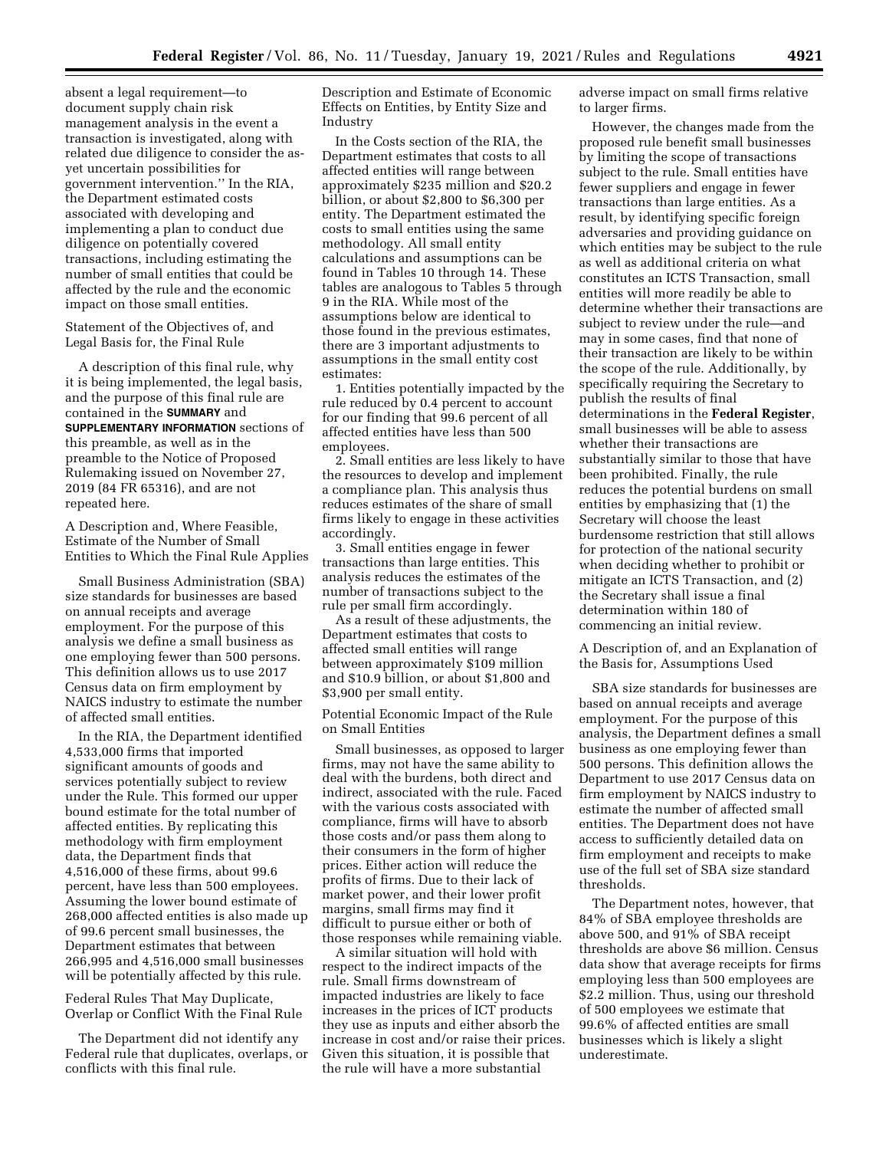absent a legal requirement—to document supply chain risk management analysis in the event a transaction is investigated, along with related due diligence to consider the asyet uncertain possibilities for government intervention.'' In the RIA, the Department estimated costs associated with developing and implementing a plan to conduct due diligence on potentially covered transactions, including estimating the number of small entities that could be affected by the rule and the economic impact on those small entities.

Statement of the Objectives of, and Legal Basis for, the Final Rule

A description of this final rule, why it is being implemented, the legal basis, and the purpose of this final rule are contained in the **SUMMARY** and **SUPPLEMENTARY INFORMATION** sections of this preamble, as well as in the preamble to the Notice of Proposed Rulemaking issued on November 27, 2019 (84 FR 65316), and are not repeated here.

A Description and, Where Feasible, Estimate of the Number of Small Entities to Which the Final Rule Applies

Small Business Administration (SBA) size standards for businesses are based on annual receipts and average employment. For the purpose of this analysis we define a small business as one employing fewer than 500 persons. This definition allows us to use 2017 Census data on firm employment by NAICS industry to estimate the number of affected small entities.

In the RIA, the Department identified 4,533,000 firms that imported significant amounts of goods and services potentially subject to review under the Rule. This formed our upper bound estimate for the total number of affected entities. By replicating this methodology with firm employment data, the Department finds that 4,516,000 of these firms, about 99.6 percent, have less than 500 employees. Assuming the lower bound estimate of 268,000 affected entities is also made up of 99.6 percent small businesses, the Department estimates that between 266,995 and 4,516,000 small businesses will be potentially affected by this rule.

Federal Rules That May Duplicate, Overlap or Conflict With the Final Rule

The Department did not identify any Federal rule that duplicates, overlaps, or conflicts with this final rule.

Description and Estimate of Economic Effects on Entities, by Entity Size and Industry

In the Costs section of the RIA, the Department estimates that costs to all affected entities will range between approximately \$235 million and \$20.2 billion, or about \$2,800 to \$6,300 per entity. The Department estimated the costs to small entities using the same methodology. All small entity calculations and assumptions can be found in Tables 10 through 14. These tables are analogous to Tables 5 through 9 in the RIA. While most of the assumptions below are identical to those found in the previous estimates, there are 3 important adjustments to assumptions in the small entity cost estimates:

1. Entities potentially impacted by the rule reduced by 0.4 percent to account for our finding that 99.6 percent of all affected entities have less than 500 employees.

2. Small entities are less likely to have the resources to develop and implement a compliance plan. This analysis thus reduces estimates of the share of small firms likely to engage in these activities accordingly.

3. Small entities engage in fewer transactions than large entities. This analysis reduces the estimates of the number of transactions subject to the rule per small firm accordingly.

As a result of these adjustments, the Department estimates that costs to affected small entities will range between approximately \$109 million and \$10.9 billion, or about \$1,800 and \$3,900 per small entity.

Potential Economic Impact of the Rule on Small Entities

Small businesses, as opposed to larger firms, may not have the same ability to deal with the burdens, both direct and indirect, associated with the rule. Faced with the various costs associated with compliance, firms will have to absorb those costs and/or pass them along to their consumers in the form of higher prices. Either action will reduce the profits of firms. Due to their lack of market power, and their lower profit margins, small firms may find it difficult to pursue either or both of those responses while remaining viable.

A similar situation will hold with respect to the indirect impacts of the rule. Small firms downstream of impacted industries are likely to face increases in the prices of ICT products they use as inputs and either absorb the increase in cost and/or raise their prices. Given this situation, it is possible that the rule will have a more substantial

adverse impact on small firms relative to larger firms.

However, the changes made from the proposed rule benefit small businesses by limiting the scope of transactions subject to the rule. Small entities have fewer suppliers and engage in fewer transactions than large entities. As a result, by identifying specific foreign adversaries and providing guidance on which entities may be subject to the rule as well as additional criteria on what constitutes an ICTS Transaction, small entities will more readily be able to determine whether their transactions are subject to review under the rule—and may in some cases, find that none of their transaction are likely to be within the scope of the rule. Additionally, by specifically requiring the Secretary to publish the results of final determinations in the **Federal Register**, small businesses will be able to assess whether their transactions are substantially similar to those that have been prohibited. Finally, the rule reduces the potential burdens on small entities by emphasizing that (1) the Secretary will choose the least burdensome restriction that still allows for protection of the national security when deciding whether to prohibit or mitigate an ICTS Transaction, and (2) the Secretary shall issue a final determination within 180 of commencing an initial review.

A Description of, and an Explanation of the Basis for, Assumptions Used

SBA size standards for businesses are based on annual receipts and average employment. For the purpose of this analysis, the Department defines a small business as one employing fewer than 500 persons. This definition allows the Department to use 2017 Census data on firm employment by NAICS industry to estimate the number of affected small entities. The Department does not have access to sufficiently detailed data on firm employment and receipts to make use of the full set of SBA size standard thresholds.

The Department notes, however, that 84% of SBA employee thresholds are above 500, and 91% of SBA receipt thresholds are above \$6 million. Census data show that average receipts for firms employing less than 500 employees are \$2.2 million. Thus, using our threshold of 500 employees we estimate that 99.6% of affected entities are small businesses which is likely a slight underestimate.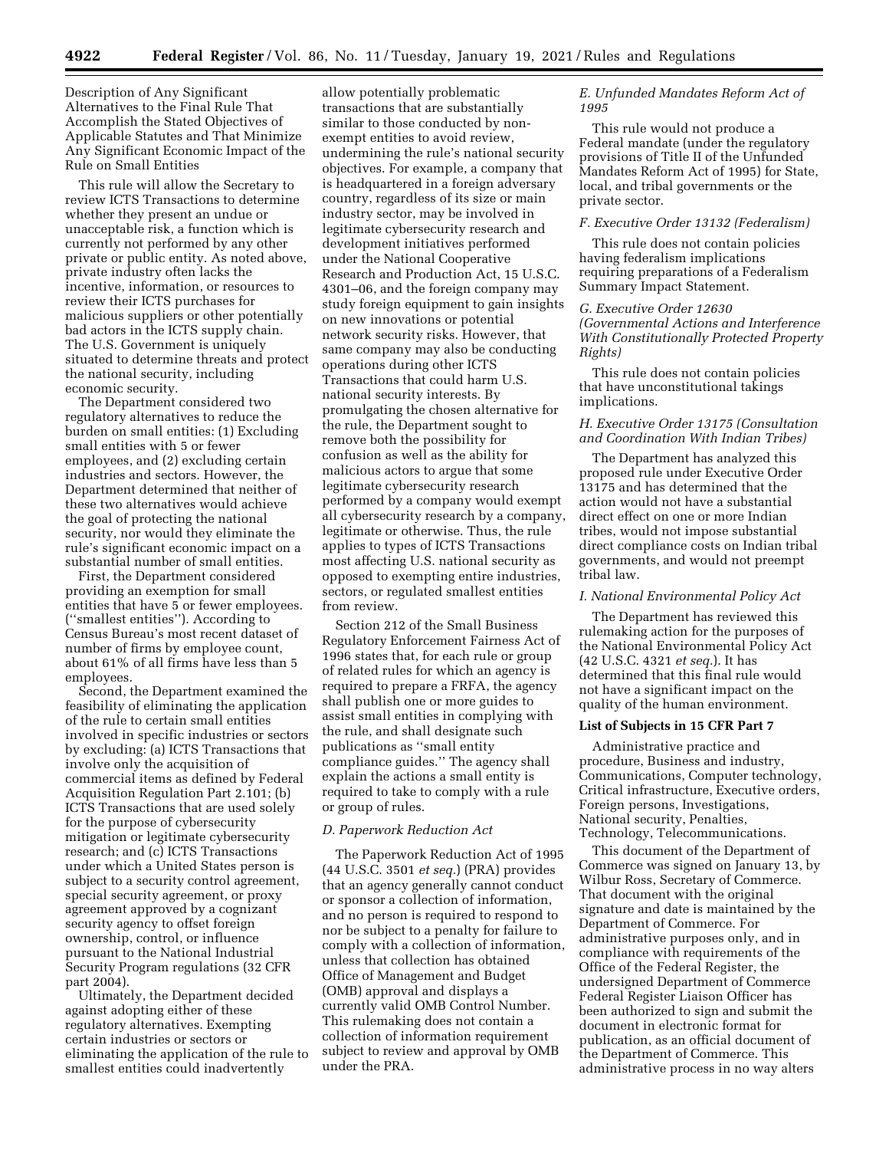Description of Any Significant Alternatives to the Final Rule That Accomplish the Stated Objectives of Applicable Statutes and That Minimize Any Significant Economic Impact of the Rule on Small Entities

This rule will allow the Secretary to review ICTS Transactions to determine whether they present an undue or unacceptable risk, a function which is currently not performed by any other private or public entity. As noted above, private industry often lacks the incentive, information, or resources to review their ICTS purchases for malicious suppliers or other potentially bad actors in the ICTS supply chain. The U.S. Government is uniquely situated to determine threats and protect the national security, including economic security.

The Department considered two regulatory alternatives to reduce the burden on small entities: (1) Excluding small entities with 5 or fewer employees, and (2) excluding certain industries and sectors. However, the Department determined that neither of these two alternatives would achieve the goal of protecting the national security, nor would they eliminate the rule's significant economic impact on a substantial number of small entities.

First, the Department considered providing an exemption for small entities that have 5 or fewer employees. (''smallest entities''). According to Census Bureau's most recent dataset of number of firms by employee count, about 61% of all firms have less than 5 employees.

Second, the Department examined the feasibility of eliminating the application of the rule to certain small entities involved in specific industries or sectors by excluding: (a) ICTS Transactions that involve only the acquisition of commercial items as defined by Federal Acquisition Regulation Part 2.101; (b) ICTS Transactions that are used solely for the purpose of cybersecurity mitigation or legitimate cybersecurity research; and (c) ICTS Transactions under which a United States person is subject to a security control agreement, special security agreement, or proxy agreement approved by a cognizant security agency to offset foreign ownership, control, or influence pursuant to the National Industrial Security Program regulations (32 CFR part 2004).

Ultimately, the Department decided against adopting either of these regulatory alternatives. Exempting certain industries or sectors or eliminating the application of the rule to smallest entities could inadvertently

allow potentially problematic transactions that are substantially similar to those conducted by nonexempt entities to avoid review, undermining the rule's national security objectives. For example, a company that is headquartered in a foreign adversary country, regardless of its size or main industry sector, may be involved in legitimate cybersecurity research and development initiatives performed under the National Cooperative Research and Production Act, 15 U.S.C. 4301–06, and the foreign company may study foreign equipment to gain insights on new innovations or potential network security risks. However, that same company may also be conducting operations during other ICTS Transactions that could harm U.S. national security interests. By promulgating the chosen alternative for the rule, the Department sought to remove both the possibility for confusion as well as the ability for malicious actors to argue that some legitimate cybersecurity research performed by a company would exempt all cybersecurity research by a company, legitimate or otherwise. Thus, the rule applies to types of ICTS Transactions most affecting U.S. national security as opposed to exempting entire industries, sectors, or regulated smallest entities from review.

Section 212 of the Small Business Regulatory Enforcement Fairness Act of 1996 states that, for each rule or group of related rules for which an agency is required to prepare a FRFA, the agency shall publish one or more guides to assist small entities in complying with the rule, and shall designate such publications as ''small entity compliance guides.'' The agency shall explain the actions a small entity is required to take to comply with a rule or group of rules.

#### *D. Paperwork Reduction Act*

The Paperwork Reduction Act of 1995 (44 U.S.C. 3501 *et seq.*) (PRA) provides that an agency generally cannot conduct or sponsor a collection of information, and no person is required to respond to nor be subject to a penalty for failure to comply with a collection of information, unless that collection has obtained Office of Management and Budget (OMB) approval and displays a currently valid OMB Control Number. This rulemaking does not contain a collection of information requirement subject to review and approval by OMB under the PRA.

## *E. Unfunded Mandates Reform Act of 1995*

This rule would not produce a Federal mandate (under the regulatory provisions of Title II of the Unfunded Mandates Reform Act of 1995) for State, local, and tribal governments or the private sector.

# *F. Executive Order 13132 (Federalism)*

This rule does not contain policies having federalism implications requiring preparations of a Federalism Summary Impact Statement.

## *G. Executive Order 12630*

*(Governmental Actions and Interference With Constitutionally Protected Property Rights)* 

This rule does not contain policies that have unconstitutional takings implications.

# *H. Executive Order 13175 (Consultation and Coordination With Indian Tribes)*

The Department has analyzed this proposed rule under Executive Order 13175 and has determined that the action would not have a substantial direct effect on one or more Indian tribes, would not impose substantial direct compliance costs on Indian tribal governments, and would not preempt tribal law.

# *I. National Environmental Policy Act*

The Department has reviewed this rulemaking action for the purposes of the National Environmental Policy Act (42 U.S.C. 4321 *et seq.*). It has determined that this final rule would not have a significant impact on the quality of the human environment.

## **List of Subjects in 15 CFR Part 7**

Administrative practice and procedure, Business and industry, Communications, Computer technology, Critical infrastructure, Executive orders, Foreign persons, Investigations, National security, Penalties, Technology, Telecommunications.

This document of the Department of Commerce was signed on January 13, by Wilbur Ross, Secretary of Commerce. That document with the original signature and date is maintained by the Department of Commerce. For administrative purposes only, and in compliance with requirements of the Office of the Federal Register, the undersigned Department of Commerce Federal Register Liaison Officer has been authorized to sign and submit the document in electronic format for publication, as an official document of the Department of Commerce. This administrative process in no way alters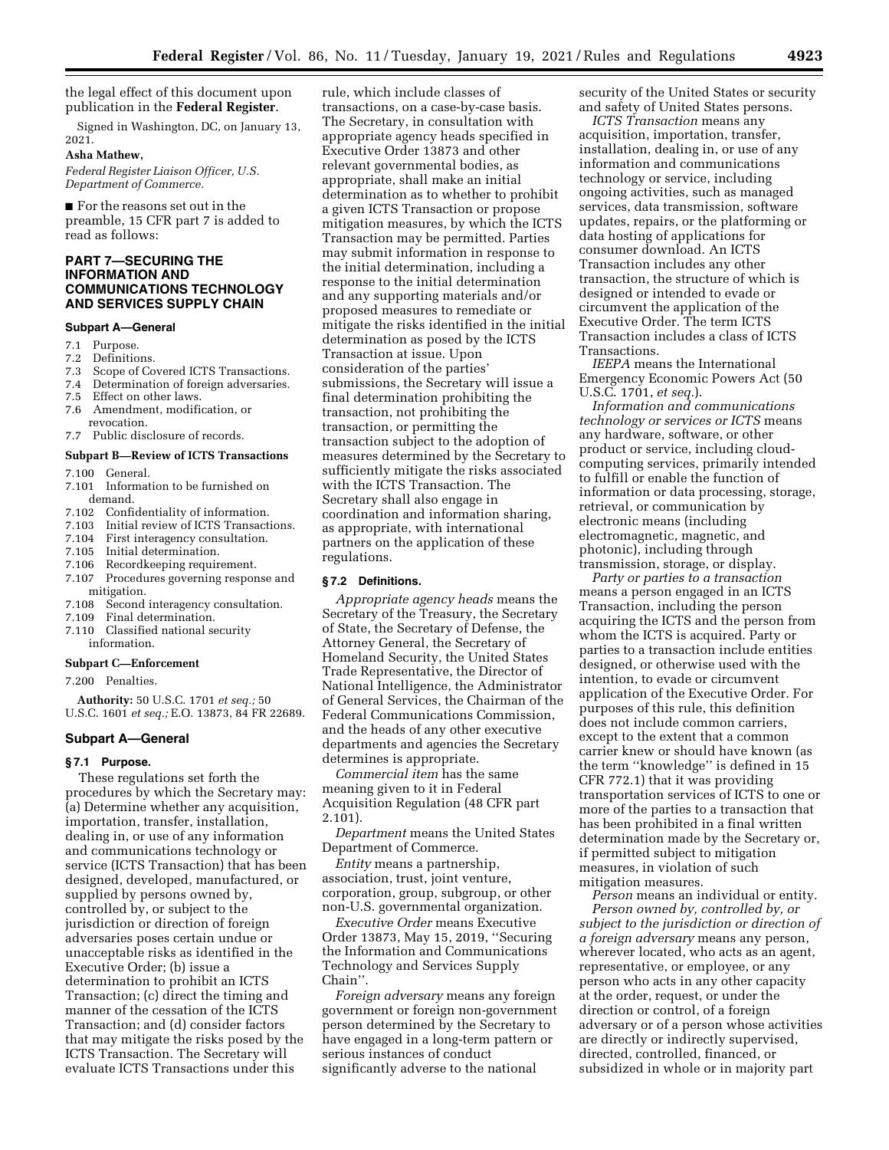the legal effect of this document upon publication in the **Federal Register**.

Signed in Washington, DC, on January 13, 2021.

#### **Asha Mathew,**

*Federal Register Liaison Officer, U.S. Department of Commerce.* 

■ For the reasons set out in the preamble, 15 CFR part 7 is added to read as follows:

# **PART 7—SECURING THE INFORMATION AND COMMUNICATIONS TECHNOLOGY AND SERVICES SUPPLY CHAIN**

#### **Subpart A—General**

- 7.1 Purpose.
- 7.2 Definitions.<br>7.3 Scope of Co
- 7.3 Scope of Covered ICTS Transactions.<br>7.4 Determination of foreign adversaries.
- Determination of foreign adversaries.
- 7.5 Effect on other laws.
- 7.6 Amendment, modification, or revocation.
- 7.7 Public disclosure of records.

# **Subpart B—Review of ICTS Transactions**

- 7.100 General.
- 7.101 Information to be furnished on demand.<br>7.102 Confi
- 7.102 Confidentiality of information.<br>7.103 Initial review of ICTS Transact
- Initial review of ICTS Transactions.
- 7.104 First interagency consultation.<br>7.105 Initial determination.
- 7.105 Initial determination.<br>7.106 Recordkeening require
- 7.106 Recordkeeping requirement.<br>7.107 Procedures governing respor
- Procedures governing response and mitigation.
- 7.108 Second interagency consultation.
- 7.109 Final determination.
- 7.110 Classified national security information.

# **Subpart C—Enforcement**

7.200 Penalties.

**Authority:** 50 U.S.C. 1701 *et seq.;* 50 U.S.C. 1601 *et seq.;* E.O. 13873, 84 FR 22689.

#### **Subpart A—General**

#### **§ 7.1 Purpose.**

These regulations set forth the procedures by which the Secretary may: (a) Determine whether any acquisition, importation, transfer, installation, dealing in, or use of any information and communications technology or service (ICTS Transaction) that has been designed, developed, manufactured, or supplied by persons owned by, controlled by, or subject to the jurisdiction or direction of foreign adversaries poses certain undue or unacceptable risks as identified in the Executive Order; (b) issue a determination to prohibit an ICTS Transaction; (c) direct the timing and manner of the cessation of the ICTS Transaction; and (d) consider factors that may mitigate the risks posed by the ICTS Transaction. The Secretary will evaluate ICTS Transactions under this

rule, which include classes of transactions, on a case-by-case basis. The Secretary, in consultation with appropriate agency heads specified in Executive Order 13873 and other relevant governmental bodies, as appropriate, shall make an initial determination as to whether to prohibit a given ICTS Transaction or propose mitigation measures, by which the ICTS Transaction may be permitted. Parties may submit information in response to the initial determination, including a response to the initial determination and any supporting materials and/or proposed measures to remediate or mitigate the risks identified in the initial determination as posed by the ICTS Transaction at issue. Upon consideration of the parties' submissions, the Secretary will issue a final determination prohibiting the transaction, not prohibiting the transaction, or permitting the transaction subject to the adoption of measures determined by the Secretary to sufficiently mitigate the risks associated with the ICTS Transaction. The Secretary shall also engage in coordination and information sharing, as appropriate, with international partners on the application of these regulations.

#### **§ 7.2 Definitions.**

*Appropriate agency heads* means the Secretary of the Treasury, the Secretary of State, the Secretary of Defense, the Attorney General, the Secretary of Homeland Security, the United States Trade Representative, the Director of National Intelligence, the Administrator of General Services, the Chairman of the Federal Communications Commission, and the heads of any other executive departments and agencies the Secretary determines is appropriate.

*Commercial item* has the same meaning given to it in Federal Acquisition Regulation (48 CFR part 2.101).

*Department* means the United States Department of Commerce.

*Entity* means a partnership, association, trust, joint venture, corporation, group, subgroup, or other non-U.S. governmental organization.

*Executive Order* means Executive Order 13873, May 15, 2019, ''Securing the Information and Communications Technology and Services Supply Chain''.

*Foreign adversary* means any foreign government or foreign non-government person determined by the Secretary to have engaged in a long-term pattern or serious instances of conduct significantly adverse to the national

security of the United States or security and safety of United States persons.

*ICTS Transaction* means any acquisition, importation, transfer, installation, dealing in, or use of any information and communications technology or service, including ongoing activities, such as managed services, data transmission, software updates, repairs, or the platforming or data hosting of applications for consumer download. An ICTS Transaction includes any other transaction, the structure of which is designed or intended to evade or circumvent the application of the Executive Order. The term ICTS Transaction includes a class of ICTS Transactions.

*IEEPA* means the International Emergency Economic Powers Act (50 U.S.C. 1701, *et seq.*).

*Information and communications technology or services or ICTS* means any hardware, software, or other product or service, including cloudcomputing services, primarily intended to fulfill or enable the function of information or data processing, storage, retrieval, or communication by electronic means (including electromagnetic, magnetic, and photonic), including through transmission, storage, or display.

*Party or parties to a transaction*  means a person engaged in an ICTS Transaction, including the person acquiring the ICTS and the person from whom the ICTS is acquired. Party or parties to a transaction include entities designed, or otherwise used with the intention, to evade or circumvent application of the Executive Order. For purposes of this rule, this definition does not include common carriers, except to the extent that a common carrier knew or should have known (as the term ''knowledge'' is defined in 15 CFR 772.1) that it was providing transportation services of ICTS to one or more of the parties to a transaction that has been prohibited in a final written determination made by the Secretary or, if permitted subject to mitigation measures, in violation of such mitigation measures.

*Person* means an individual or entity. *Person owned by, controlled by, or subject to the jurisdiction or direction of a foreign adversary* means any person, wherever located, who acts as an agent, representative, or employee, or any person who acts in any other capacity at the order, request, or under the direction or control, of a foreign adversary or of a person whose activities are directly or indirectly supervised, directed, controlled, financed, or subsidized in whole or in majority part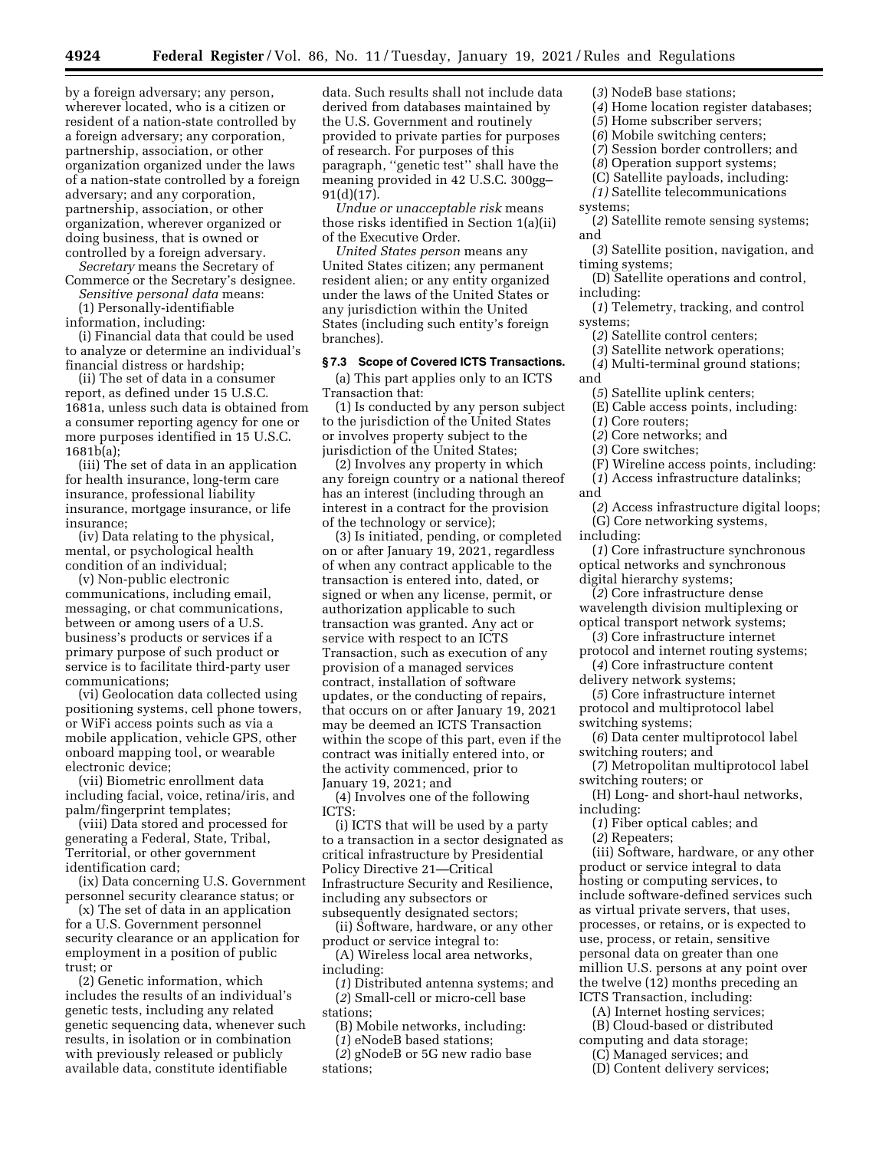by a foreign adversary; any person, wherever located, who is a citizen or resident of a nation-state controlled by a foreign adversary; any corporation, partnership, association, or other organization organized under the laws of a nation-state controlled by a foreign adversary; and any corporation, partnership, association, or other organization, wherever organized or doing business, that is owned or controlled by a foreign adversary.

*Secretary* means the Secretary of Commerce or the Secretary's designee. *Sensitive personal data* means:

(1) Personally-identifiable

information, including:

(i) Financial data that could be used to analyze or determine an individual's financial distress or hardship;

(ii) The set of data in a consumer report, as defined under 15 U.S.C. 1681a, unless such data is obtained from a consumer reporting agency for one or more purposes identified in 15 U.S.C. 1681b(a);

(iii) The set of data in an application for health insurance, long-term care insurance, professional liability insurance, mortgage insurance, or life insurance;

(iv) Data relating to the physical, mental, or psychological health condition of an individual;

(v) Non-public electronic communications, including email, messaging, or chat communications, between or among users of a U.S. business's products or services if a primary purpose of such product or service is to facilitate third-party user communications;

(vi) Geolocation data collected using positioning systems, cell phone towers, or WiFi access points such as via a mobile application, vehicle GPS, other onboard mapping tool, or wearable electronic device;

(vii) Biometric enrollment data including facial, voice, retina/iris, and palm/fingerprint templates;

(viii) Data stored and processed for generating a Federal, State, Tribal, Territorial, or other government identification card;

(ix) Data concerning U.S. Government personnel security clearance status; or

(x) The set of data in an application for a U.S. Government personnel security clearance or an application for employment in a position of public trust; or

(2) Genetic information, which includes the results of an individual's genetic tests, including any related genetic sequencing data, whenever such results, in isolation or in combination with previously released or publicly available data, constitute identifiable

data. Such results shall not include data derived from databases maintained by the U.S. Government and routinely provided to private parties for purposes of research. For purposes of this paragraph, ''genetic test'' shall have the meaning provided in 42 U.S.C. 300gg– 91(d)(17).

*Undue or unacceptable risk* means those risks identified in Section 1(a)(ii) of the Executive Order.

*United States person* means any United States citizen; any permanent resident alien; or any entity organized under the laws of the United States or any jurisdiction within the United States (including such entity's foreign branches).

### **§ 7.3 Scope of Covered ICTS Transactions.**

(a) This part applies only to an ICTS Transaction that:

(1) Is conducted by any person subject to the jurisdiction of the United States or involves property subject to the jurisdiction of the United States;

(2) Involves any property in which any foreign country or a national thereof has an interest (including through an interest in a contract for the provision of the technology or service);

(3) Is initiated, pending, or completed on or after January 19, 2021, regardless of when any contract applicable to the transaction is entered into, dated, or signed or when any license, permit, or authorization applicable to such transaction was granted. Any act or service with respect to an ICTS Transaction, such as execution of any provision of a managed services contract, installation of software updates, or the conducting of repairs, that occurs on or after January 19, 2021 may be deemed an ICTS Transaction within the scope of this part, even if the contract was initially entered into, or the activity commenced, prior to January 19, 2021; and

(4) Involves one of the following ICTS:

(i) ICTS that will be used by a party to a transaction in a sector designated as critical infrastructure by Presidential Policy Directive 21—Critical Infrastructure Security and Resilience, including any subsectors or subsequently designated sectors;

(ii) Software, hardware, or any other product or service integral to:

(A) Wireless local area networks, including:

(*1*) Distributed antenna systems; and (*2*) Small-cell or micro-cell base stations;

(B) Mobile networks, including:

(*1*) eNodeB based stations;

(*2*) gNodeB or 5G new radio base stations;

- (*3*) NodeB base stations;
- (*4*) Home location register databases;
- (*5*) Home subscriber servers; (*6*) Mobile switching centers;
- (*7*) Session border controllers; and
- (*8*) Operation support systems;
- (C) Satellite payloads, including:

*(1)* Satellite telecommunications systems;

(*2*) Satellite remote sensing systems; and

(*3*) Satellite position, navigation, and timing systems;

(D) Satellite operations and control, including:

(*1*) Telemetry, tracking, and control systems;

- (*2*) Satellite control centers;
- (*3*) Satellite network operations;
- (*4*) Multi-terminal ground stations; and
	- (*5*) Satellite uplink centers;

(E) Cable access points, including:

- (*1*) Core routers;
- (*2*) Core networks; and
- (*3*) Core switches;
- (F) Wireline access points, including:
- (*1*) Access infrastructure datalinks;

and

(*2*) Access infrastructure digital loops; (G) Core networking systems,

including:

- (*1*) Core infrastructure synchronous optical networks and synchronous digital hierarchy systems;
- (*2*) Core infrastructure dense wavelength division multiplexing or optical transport network systems;
- (*3*) Core infrastructure internet protocol and internet routing systems;
- (*4*) Core infrastructure content
- delivery network systems;
- (*5*) Core infrastructure internet protocol and multiprotocol label switching systems;
- (*6*) Data center multiprotocol label switching routers; and
- (*7*) Metropolitan multiprotocol label switching routers; or
- (H) Long- and short-haul networks, including:
- (*1*) Fiber optical cables; and
- (*2*) Repeaters;

(iii) Software, hardware, or any other product or service integral to data hosting or computing services, to include software-defined services such as virtual private servers, that uses, processes, or retains, or is expected to use, process, or retain, sensitive personal data on greater than one million U.S. persons at any point over the twelve (12) months preceding an ICTS Transaction, including:

(A) Internet hosting services;

(B) Cloud-based or distributed computing and data storage;

(C) Managed services; and

(D) Content delivery services;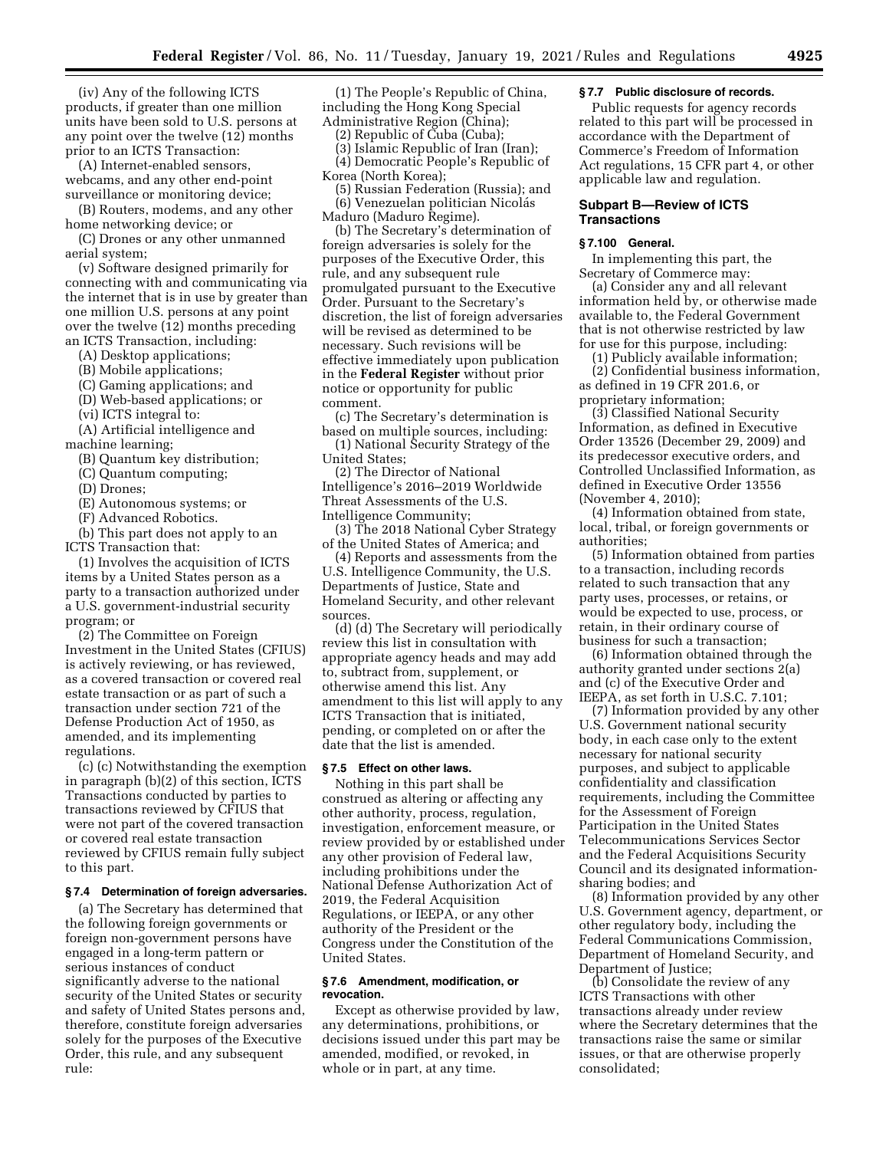(iv) Any of the following ICTS products, if greater than one million units have been sold to U.S. persons at any point over the twelve (12) months prior to an ICTS Transaction:

(A) Internet-enabled sensors, webcams, and any other end-point surveillance or monitoring device;

(B) Routers, modems, and any other home networking device; or

(C) Drones or any other unmanned aerial system;

(v) Software designed primarily for connecting with and communicating via the internet that is in use by greater than one million U.S. persons at any point over the twelve (12) months preceding an ICTS Transaction, including:

(A) Desktop applications;

(B) Mobile applications;

(C) Gaming applications; and

(D) Web-based applications; or

(vi) ICTS integral to:

(A) Artificial intelligence and machine learning;

(B) Quantum key distribution;

(C) Quantum computing;

(D) Drones;

(E) Autonomous systems; or

(F) Advanced Robotics.

(b) This part does not apply to an ICTS Transaction that:

(1) Involves the acquisition of ICTS items by a United States person as a party to a transaction authorized under a U.S. government-industrial security program; or

(2) The Committee on Foreign Investment in the United States (CFIUS) is actively reviewing, or has reviewed, as a covered transaction or covered real estate transaction or as part of such a transaction under section 721 of the Defense Production Act of 1950, as amended, and its implementing regulations.

(c) (c) Notwithstanding the exemption in paragraph (b)(2) of this section, ICTS Transactions conducted by parties to transactions reviewed by CFIUS that were not part of the covered transaction or covered real estate transaction reviewed by CFIUS remain fully subject to this part.

### **§ 7.4 Determination of foreign adversaries.**

(a) The Secretary has determined that the following foreign governments or foreign non-government persons have engaged in a long-term pattern or serious instances of conduct significantly adverse to the national security of the United States or security and safety of United States persons and, therefore, constitute foreign adversaries solely for the purposes of the Executive Order, this rule, and any subsequent rule:

(1) The People's Republic of China, including the Hong Kong Special Administrative Region (China);

(2) Republic of Cuba (Cuba);

(3) Islamic Republic of Iran (Iran); (4) Democratic People's Republic of Korea (North Korea);

(5) Russian Federation (Russia); and (6) Venezuelan politician Nicolás Maduro (Maduro Regime).

(b) The Secretary's determination of foreign adversaries is solely for the purposes of the Executive Order, this rule, and any subsequent rule promulgated pursuant to the Executive Order. Pursuant to the Secretary's discretion, the list of foreign adversaries will be revised as determined to be necessary. Such revisions will be effective immediately upon publication in the **Federal Register** without prior notice or opportunity for public comment.

(c) The Secretary's determination is based on multiple sources, including:

(1) National Security Strategy of the United States;

(2) The Director of National Intelligence's 2016–2019 Worldwide Threat Assessments of the U.S. Intelligence Community;

(3) The 2018 National Cyber Strategy of the United States of America; and

(4) Reports and assessments from the U.S. Intelligence Community, the U.S. Departments of Justice, State and Homeland Security, and other relevant sources.

(d) (d) The Secretary will periodically review this list in consultation with appropriate agency heads and may add to, subtract from, supplement, or otherwise amend this list. Any amendment to this list will apply to any ICTS Transaction that is initiated, pending, or completed on or after the date that the list is amended.

## **§ 7.5 Effect on other laws.**

Nothing in this part shall be construed as altering or affecting any other authority, process, regulation, investigation, enforcement measure, or review provided by or established under any other provision of Federal law, including prohibitions under the National Defense Authorization Act of 2019, the Federal Acquisition Regulations, or IEEPA, or any other authority of the President or the Congress under the Constitution of the United States.

### **§ 7.6 Amendment, modification, or revocation.**

Except as otherwise provided by law, any determinations, prohibitions, or decisions issued under this part may be amended, modified, or revoked, in whole or in part, at any time.

## **§ 7.7 Public disclosure of records.**

Public requests for agency records related to this part will be processed in accordance with the Department of Commerce's Freedom of Information Act regulations, 15 CFR part 4, or other applicable law and regulation.

## **Subpart B—Review of ICTS Transactions**

### **§ 7.100 General.**

In implementing this part, the Secretary of Commerce may:

(a) Consider any and all relevant information held by, or otherwise made available to, the Federal Government that is not otherwise restricted by law for use for this purpose, including:

(1) Publicly available information;

(2) Confidential business information, as defined in 19 CFR 201.6, or proprietary information;

(3) Classified National Security Information, as defined in Executive Order 13526 (December 29, 2009) and its predecessor executive orders, and Controlled Unclassified Information, as defined in Executive Order 13556 (November 4, 2010);

(4) Information obtained from state, local, tribal, or foreign governments or authorities;

(5) Information obtained from parties to a transaction, including records related to such transaction that any party uses, processes, or retains, or would be expected to use, process, or retain, in their ordinary course of business for such a transaction;

(6) Information obtained through the authority granted under sections 2(a) and (c) of the Executive Order and IEEPA, as set forth in U.S.C. 7.101;

(7) Information provided by any other U.S. Government national security body, in each case only to the extent necessary for national security purposes, and subject to applicable confidentiality and classification requirements, including the Committee for the Assessment of Foreign Participation in the United States Telecommunications Services Sector and the Federal Acquisitions Security Council and its designated informationsharing bodies; and

(8) Information provided by any other U.S. Government agency, department, or other regulatory body, including the Federal Communications Commission, Department of Homeland Security, and Department of Justice;

(b) Consolidate the review of any ICTS Transactions with other transactions already under review where the Secretary determines that the transactions raise the same or similar issues, or that are otherwise properly consolidated;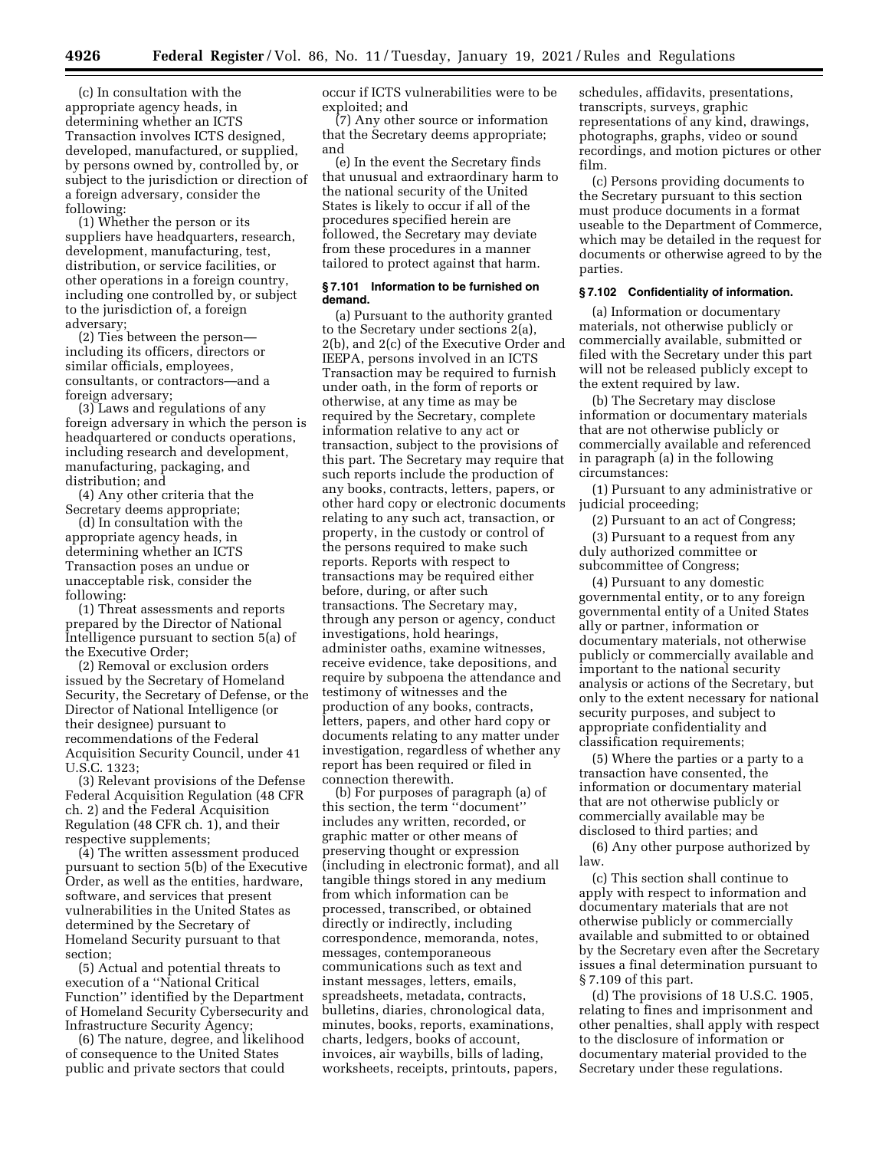(c) In consultation with the appropriate agency heads, in determining whether an ICTS Transaction involves ICTS designed, developed, manufactured, or supplied, by persons owned by, controlled by, or subject to the jurisdiction or direction of a foreign adversary, consider the following:

(1) Whether the person or its suppliers have headquarters, research, development, manufacturing, test, distribution, or service facilities, or other operations in a foreign country, including one controlled by, or subject to the jurisdiction of, a foreign adversary;

(2) Ties between the person including its officers, directors or similar officials, employees, consultants, or contractors—and a foreign adversary;

(3) Laws and regulations of any foreign adversary in which the person is headquartered or conducts operations, including research and development, manufacturing, packaging, and distribution; and

(4) Any other criteria that the Secretary deems appropriate;

(d) In consultation with the appropriate agency heads, in determining whether an ICTS Transaction poses an undue or unacceptable risk, consider the following:

(1) Threat assessments and reports prepared by the Director of National Intelligence pursuant to section 5(a) of the Executive Order;

(2) Removal or exclusion orders issued by the Secretary of Homeland Security, the Secretary of Defense, or the Director of National Intelligence (or their designee) pursuant to recommendations of the Federal Acquisition Security Council, under 41 U.S.C. 1323;

(3) Relevant provisions of the Defense Federal Acquisition Regulation (48 CFR ch. 2) and the Federal Acquisition Regulation (48 CFR ch. 1), and their respective supplements;

(4) The written assessment produced pursuant to section 5(b) of the Executive Order, as well as the entities, hardware, software, and services that present vulnerabilities in the United States as determined by the Secretary of Homeland Security pursuant to that section;

(5) Actual and potential threats to execution of a ''National Critical Function'' identified by the Department of Homeland Security Cybersecurity and Infrastructure Security Agency;

(6) The nature, degree, and likelihood of consequence to the United States public and private sectors that could

occur if ICTS vulnerabilities were to be exploited; and

(7) Any other source or information that the Secretary deems appropriate; and

(e) In the event the Secretary finds that unusual and extraordinary harm to the national security of the United States is likely to occur if all of the procedures specified herein are followed, the Secretary may deviate from these procedures in a manner tailored to protect against that harm.

## **§ 7.101 Information to be furnished on demand.**

(a) Pursuant to the authority granted to the Secretary under sections 2(a), 2(b), and 2(c) of the Executive Order and IEEPA, persons involved in an ICTS Transaction may be required to furnish under oath, in the form of reports or otherwise, at any time as may be required by the Secretary, complete information relative to any act or transaction, subject to the provisions of this part. The Secretary may require that such reports include the production of any books, contracts, letters, papers, or other hard copy or electronic documents relating to any such act, transaction, or property, in the custody or control of the persons required to make such reports. Reports with respect to transactions may be required either before, during, or after such transactions. The Secretary may, through any person or agency, conduct investigations, hold hearings, administer oaths, examine witnesses, receive evidence, take depositions, and require by subpoena the attendance and testimony of witnesses and the production of any books, contracts, letters, papers, and other hard copy or documents relating to any matter under investigation, regardless of whether any report has been required or filed in connection therewith.

(b) For purposes of paragraph (a) of this section, the term ''document'' includes any written, recorded, or graphic matter or other means of preserving thought or expression (including in electronic format), and all tangible things stored in any medium from which information can be processed, transcribed, or obtained directly or indirectly, including correspondence, memoranda, notes, messages, contemporaneous communications such as text and instant messages, letters, emails, spreadsheets, metadata, contracts, bulletins, diaries, chronological data, minutes, books, reports, examinations, charts, ledgers, books of account, invoices, air waybills, bills of lading, worksheets, receipts, printouts, papers,

schedules, affidavits, presentations, transcripts, surveys, graphic representations of any kind, drawings, photographs, graphs, video or sound recordings, and motion pictures or other film.

(c) Persons providing documents to the Secretary pursuant to this section must produce documents in a format useable to the Department of Commerce, which may be detailed in the request for documents or otherwise agreed to by the parties.

## **§ 7.102 Confidentiality of information.**

(a) Information or documentary materials, not otherwise publicly or commercially available, submitted or filed with the Secretary under this part will not be released publicly except to the extent required by law.

(b) The Secretary may disclose information or documentary materials that are not otherwise publicly or commercially available and referenced in paragraph (a) in the following circumstances:

(1) Pursuant to any administrative or judicial proceeding;

(2) Pursuant to an act of Congress;

(3) Pursuant to a request from any duly authorized committee or subcommittee of Congress;

(4) Pursuant to any domestic governmental entity, or to any foreign governmental entity of a United States ally or partner, information or documentary materials, not otherwise publicly or commercially available and important to the national security analysis or actions of the Secretary, but only to the extent necessary for national security purposes, and subject to appropriate confidentiality and classification requirements;

(5) Where the parties or a party to a transaction have consented, the information or documentary material that are not otherwise publicly or commercially available may be disclosed to third parties; and

(6) Any other purpose authorized by law.

(c) This section shall continue to apply with respect to information and documentary materials that are not otherwise publicly or commercially available and submitted to or obtained by the Secretary even after the Secretary issues a final determination pursuant to § 7.109 of this part.

(d) The provisions of 18 U.S.C. 1905, relating to fines and imprisonment and other penalties, shall apply with respect to the disclosure of information or documentary material provided to the Secretary under these regulations.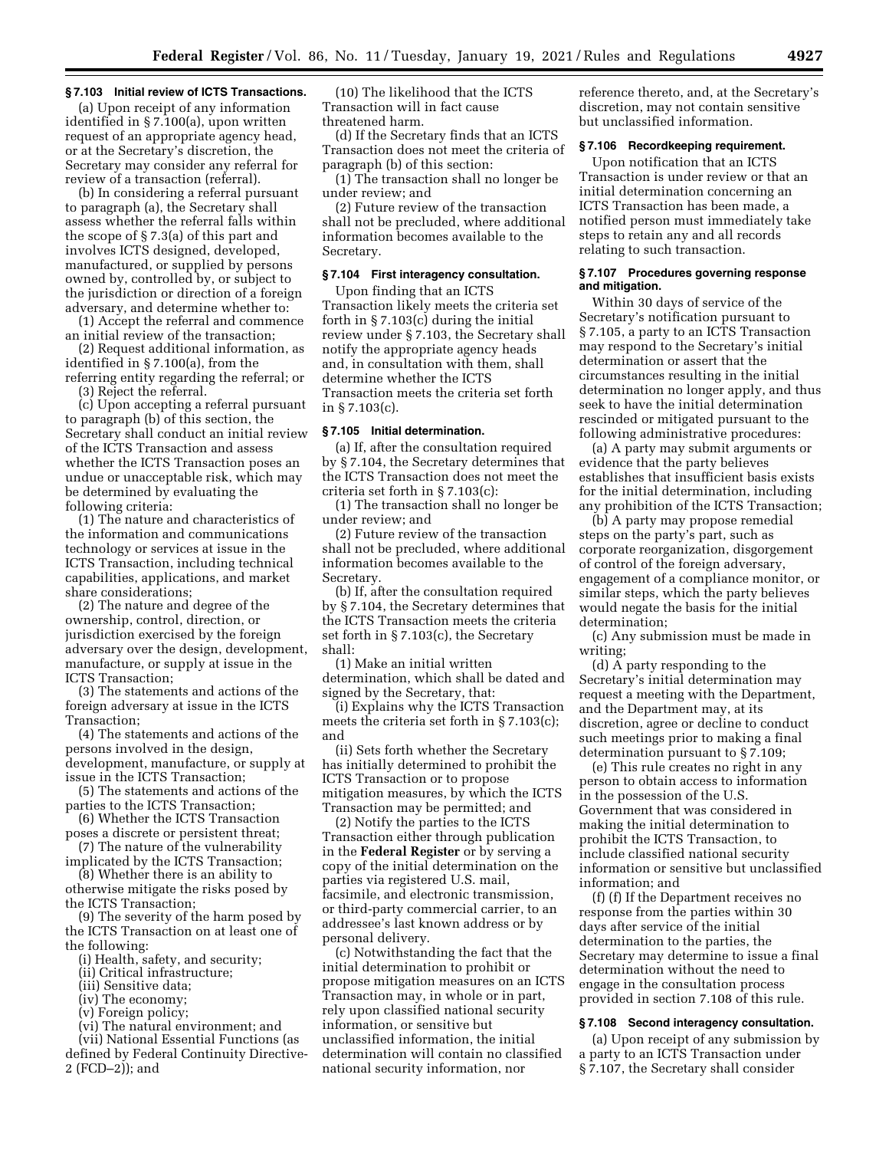## **§ 7.103 Initial review of ICTS Transactions.**

(a) Upon receipt of any information identified in § 7.100(a), upon written request of an appropriate agency head, or at the Secretary's discretion, the Secretary may consider any referral for review of a transaction (referral).

(b) In considering a referral pursuant to paragraph (a), the Secretary shall assess whether the referral falls within the scope of § 7.3(a) of this part and involves ICTS designed, developed, manufactured, or supplied by persons owned by, controlled by, or subject to the jurisdiction or direction of a foreign adversary, and determine whether to:

(1) Accept the referral and commence an initial review of the transaction;

(2) Request additional information, as identified in § 7.100(a), from the referring entity regarding the referral; or

(3) Reject the referral.

(c) Upon accepting a referral pursuant to paragraph (b) of this section, the Secretary shall conduct an initial review of the ICTS Transaction and assess whether the ICTS Transaction poses an undue or unacceptable risk, which may be determined by evaluating the following criteria:

(1) The nature and characteristics of the information and communications technology or services at issue in the ICTS Transaction, including technical capabilities, applications, and market share considerations;

(2) The nature and degree of the ownership, control, direction, or jurisdiction exercised by the foreign adversary over the design, development, manufacture, or supply at issue in the ICTS Transaction;

(3) The statements and actions of the foreign adversary at issue in the ICTS Transaction;

(4) The statements and actions of the persons involved in the design, development, manufacture, or supply at issue in the ICTS Transaction;

(5) The statements and actions of the parties to the ICTS Transaction;

(6) Whether the ICTS Transaction poses a discrete or persistent threat;

(7) The nature of the vulnerability implicated by the ICTS Transaction;

(8) Whether there is an ability to otherwise mitigate the risks posed by the ICTS Transaction;

(9) The severity of the harm posed by the ICTS Transaction on at least one of the following:

- (i) Health, safety, and security;
- (ii) Critical infrastructure;
- (iii) Sensitive data;
- (iv) The economy;
- (v) Foreign policy;

(vi) The natural environment; and (vii) National Essential Functions (as defined by Federal Continuity Directive-2 (FCD–2)); and

(10) The likelihood that the ICTS Transaction will in fact cause threatened harm.

(d) If the Secretary finds that an ICTS Transaction does not meet the criteria of paragraph (b) of this section:

(1) The transaction shall no longer be under review; and

(2) Future review of the transaction shall not be precluded, where additional information becomes available to the Secretary.

## **§ 7.104 First interagency consultation.**

Upon finding that an ICTS Transaction likely meets the criteria set forth in § 7.103(c) during the initial review under § 7.103, the Secretary shall notify the appropriate agency heads and, in consultation with them, shall determine whether the ICTS Transaction meets the criteria set forth in § 7.103(c).

#### **§ 7.105 Initial determination.**

(a) If, after the consultation required by § 7.104, the Secretary determines that the ICTS Transaction does not meet the criteria set forth in § 7.103(c):

(1) The transaction shall no longer be under review; and

(2) Future review of the transaction shall not be precluded, where additional information becomes available to the Secretary.

(b) If, after the consultation required by § 7.104, the Secretary determines that the ICTS Transaction meets the criteria set forth in § 7.103(c), the Secretary shall:

(1) Make an initial written determination, which shall be dated and signed by the Secretary, that:

(i) Explains why the ICTS Transaction meets the criteria set forth in § 7.103(c); and

(ii) Sets forth whether the Secretary has initially determined to prohibit the ICTS Transaction or to propose mitigation measures, by which the ICTS Transaction may be permitted; and

(2) Notify the parties to the ICTS Transaction either through publication in the **Federal Register** or by serving a copy of the initial determination on the parties via registered U.S. mail, facsimile, and electronic transmission, or third-party commercial carrier, to an addressee's last known address or by personal delivery.

(c) Notwithstanding the fact that the initial determination to prohibit or propose mitigation measures on an ICTS Transaction may, in whole or in part, rely upon classified national security information, or sensitive but unclassified information, the initial determination will contain no classified national security information, nor

reference thereto, and, at the Secretary's discretion, may not contain sensitive but unclassified information.

# **§ 7.106 Recordkeeping requirement.**

Upon notification that an ICTS Transaction is under review or that an initial determination concerning an ICTS Transaction has been made, a notified person must immediately take steps to retain any and all records relating to such transaction.

## **§ 7.107 Procedures governing response and mitigation.**

Within 30 days of service of the Secretary's notification pursuant to § 7.105, a party to an ICTS Transaction may respond to the Secretary's initial determination or assert that the circumstances resulting in the initial determination no longer apply, and thus seek to have the initial determination rescinded or mitigated pursuant to the following administrative procedures:

(a) A party may submit arguments or evidence that the party believes establishes that insufficient basis exists for the initial determination, including any prohibition of the ICTS Transaction;

(b) A party may propose remedial steps on the party's part, such as corporate reorganization, disgorgement of control of the foreign adversary, engagement of a compliance monitor, or similar steps, which the party believes would negate the basis for the initial determination;

(c) Any submission must be made in writing;

(d) A party responding to the Secretary's initial determination may request a meeting with the Department, and the Department may, at its discretion, agree or decline to conduct such meetings prior to making a final determination pursuant to § 7.109;

(e) This rule creates no right in any person to obtain access to information in the possession of the U.S. Government that was considered in making the initial determination to prohibit the ICTS Transaction, to include classified national security information or sensitive but unclassified information; and

(f) (f) If the Department receives no response from the parties within 30 days after service of the initial determination to the parties, the Secretary may determine to issue a final determination without the need to engage in the consultation process provided in section 7.108 of this rule.

## **§ 7.108 Second interagency consultation.**

(a) Upon receipt of any submission by a party to an ICTS Transaction under § 7.107, the Secretary shall consider